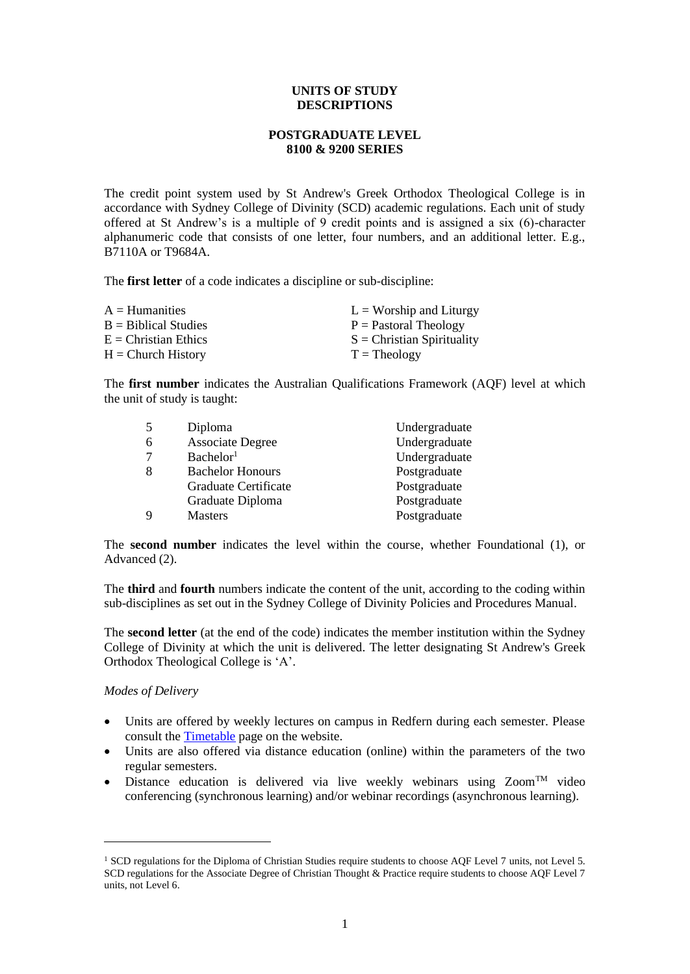## **UNITS OF STUDY DESCRIPTIONS**

# **POSTGRADUATE LEVEL 8100 & 9200 SERIES**

The credit point system used by St Andrew's Greek Orthodox Theological College is in accordance with Sydney College of Divinity (SCD) academic regulations. Each unit of study offered at St Andrew's is a multiple of 9 credit points and is assigned a six (6)-character alphanumeric code that consists of one letter, four numbers, and an additional letter. E.g., B7110A or T9684A.

The **first letter** of a code indicates a discipline or sub-discipline:

| $A =$ Humanities       | $L =$ Worship and Liturgy    |
|------------------------|------------------------------|
| $B =$ Biblical Studies | $P =$ Pastoral Theology      |
| $E =$ Christian Ethics | $S =$ Christian Spirituality |
| $H =$ Church History   | $T = Theology$               |

The **first number** indicates the Australian Qualifications Framework (AQF) level at which the unit of study is taught:

| -5          | Diploma                 | Undergraduate |
|-------------|-------------------------|---------------|
| 6           | <b>Associate Degree</b> | Undergraduate |
| 7           | Bachelor <sup>1</sup>   | Undergraduate |
| 8           | <b>Bachelor Honours</b> | Postgraduate  |
|             | Graduate Certificate    | Postgraduate  |
|             | Graduate Diploma        | Postgraduate  |
| $\mathbf Q$ | <b>Masters</b>          | Postgraduate  |

The **second number** indicates the level within the course, whether Foundational (1), or Advanced (2).

The **third** and **fourth** numbers indicate the content of the unit, according to the coding within sub-disciplines as set out in the Sydney College of Divinity Policies and Procedures Manual.

The **second letter** (at the end of the code) indicates the member institution within the Sydney College of Divinity at which the unit is delivered. The letter designating St Andrew's Greek Orthodox Theological College is 'A'.

# *Modes of Delivery*

- Units are offered by weekly lectures on campus in Redfern during each semester. Please consult th[e Timetable](http://www.sagotc.edu.au/studies/timetables) page on the website.
- Units are also offered via distance education (online) within the parameters of the two regular semesters.
- Distance education is delivered via live weekly webinars using  $Zoom^{TM}$  video conferencing (synchronous learning) and/or webinar recordings (asynchronous learning).

<span id="page-0-0"></span><sup>&</sup>lt;sup>1</sup> SCD regulations for the Diploma of Christian Studies require students to choose AQF Level 7 units, not Level 5. SCD regulations for the Associate Degree of Christian Thought & Practice require students to choose AQF Level 7 units, not Level 6.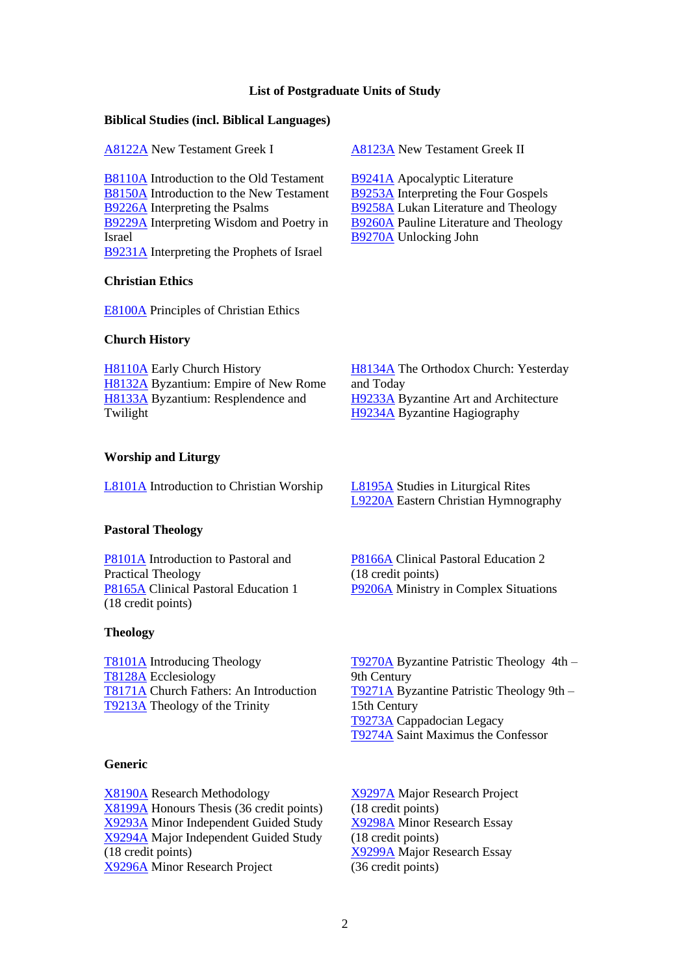#### **List of Postgraduate Units of Study**

## **Biblical Studies (incl. Biblical Languages)**

[A8122A](#page-1-0) New Testament Greek I [A8123A](#page-2-0) New Testament Greek II

[B8110A](#page-3-0) Introduction to the Old Testament [B8150A](#page-4-0) Introduction to the New Testament [B9226A](#page-5-0) Interpreting the Psalms [B9229A](#page-6-0) Interpreting Wisdom and Poetry in Israel [B9231A](#page-7-0) Interpreting the Prophets of Israel

# **Christian Ethics**

[E8100A](#page-13-0) Principles of Christian Ethics

## **Church History**

[H8110A](#page-14-0) Early Church History [H8132A](#page-15-0) Byzantium: Empire of New Rome [H8133A](#page-16-0) Byzantium: Resplendence and Twilight

[H8134A](#page-17-0) The Orthodox Church: Yesterday [H9233A](#page-18-0) Byzantine Art and Architecture [H9234A](#page-19-0) Byzantine Hagiography

## **Worship and Liturgy**

[L8101A](#page-20-0) Introduction to Christian Worship [L8195A](#page-21-0) Studies in Liturgical Rites

# **Pastoral Theology**

[P8101A](#page-23-0) Introduction to Pastoral and Practical Theology [P8165A](#page-24-0) Clinical Pastoral Education 1 (18 credit points)

#### **Theology**

[T8101A](#page-27-0) Introducing Theology [T8128A](#page-28-0) Ecclesiology [T8171A](#page-29-0) Church Fathers: An Introduction [T9213A](#page-30-0) Theology of the Trinity

#### **Generic**

<span id="page-1-0"></span>[X8190A](#page-35-0) Research Methodology [X8199A](#page-36-0) Honours Thesis (36 credit points) [X9293A](#page-37-0) Minor Independent Guided Study [X9294A](#page-38-0) Major Independent Guided Study (18 credit points) [X9296A](#page-39-0) Minor Research Project

[L9220A](#page-22-0) Eastern Christian Hymnography

[P8166A](#page-25-0) Clinical Pastoral Education 2 (18 credit points) [P9206A](#page-26-0) Ministry in Complex Situations

[T9270A](#page-31-0) Byzantine Patristic Theology 4th – 9th Century [T9271A](#page-32-0) Byzantine Patristic Theology 9th – 15th Century [T9273A](#page-33-0) Cappadocian Legacy [T9274A](#page-34-0) Saint Maximus the Confessor

[X9297A](#page-40-0) Major Research Project (18 credit points) [X9298A](#page-41-0) Minor Research Essay (18 credit points) [X9299A](#page-42-0) Major Research Essay (36 credit points)

# [B9241A](#page-8-0) Apocalyptic Literature

[B9270A](#page-12-0) Unlocking John

[B9253A](#page-9-0) Interpreting the Four Gospels [B9258A](#page-10-0) Lukan Literature and Theology [B9260A](#page-11-0) Pauline Literature and Theology

and Today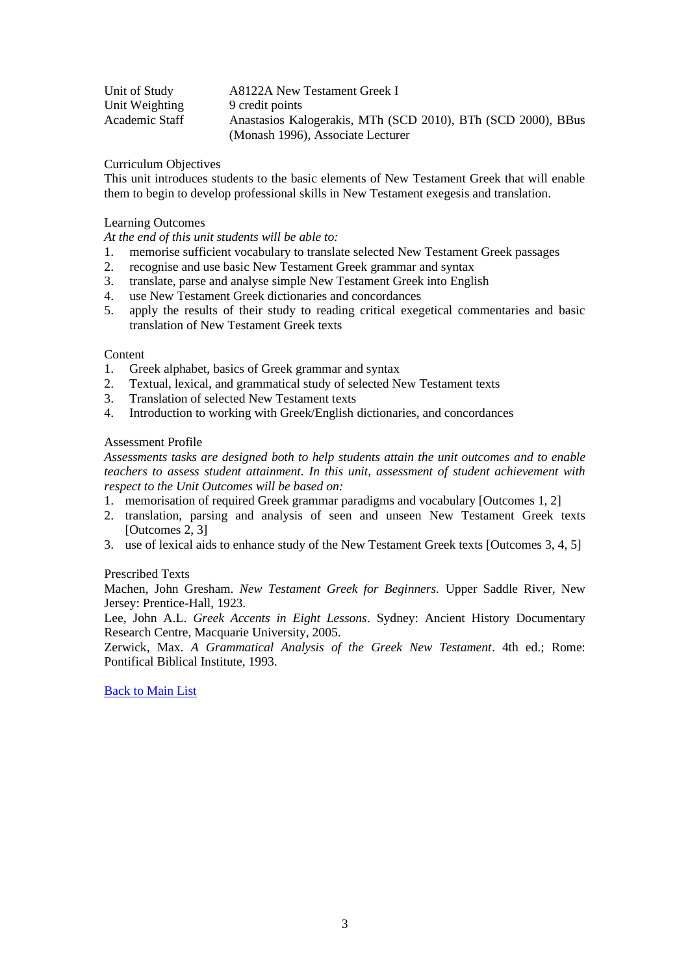| Unit of Study  | A8122A New Testament Greek I                                 |
|----------------|--------------------------------------------------------------|
| Unit Weighting | 9 credit points                                              |
| Academic Staff | Anastasios Kalogerakis, MTh (SCD 2010), BTh (SCD 2000), BBus |
|                | (Monash 1996), Associate Lecturer                            |

This unit introduces students to the basic elements of New Testament Greek that will enable them to begin to develop professional skills in New Testament exegesis and translation.

## Learning Outcomes

*At the end of this unit students will be able to:*

- 1. memorise sufficient vocabulary to translate selected New Testament Greek passages
- 2. recognise and use basic New Testament Greek grammar and syntax
- 3. translate, parse and analyse simple New Testament Greek into English
- 4. use New Testament Greek dictionaries and concordances
- 5. apply the results of their study to reading critical exegetical commentaries and basic translation of New Testament Greek texts

#### Content

- 1. Greek alphabet, basics of Greek grammar and syntax
- 2. Textual, lexical, and grammatical study of selected New Testament texts
- 3. Translation of selected New Testament texts
- 4. Introduction to working with Greek/English dictionaries, and concordances

## Assessment Profile

*Assessments tasks are designed both to help students attain the unit outcomes and to enable teachers to assess student attainment. In this unit, assessment of student achievement with respect to the Unit Outcomes will be based on:*

- 1. memorisation of required Greek grammar paradigms and vocabulary [Outcomes 1, 2]
- 2. translation, parsing and analysis of seen and unseen New Testament Greek texts [Outcomes 2, 3]
- 3. use of lexical aids to enhance study of the New Testament Greek texts [Outcomes 3, 4, 5]

#### Prescribed Texts

Machen, John Gresham. *New Testament Greek for Beginners.* Upper Saddle River, New Jersey: Prentice-Hall, 1923.

Lee, John A.L. *Greek Accents in Eight Lessons*. Sydney: Ancient History Documentary Research Centre, Macquarie University, 2005.

<span id="page-2-0"></span>Zerwick, Max. *A Grammatical Analysis of the Greek New Testament*. 4th ed.; Rome: Pontifical Biblical Institute, 1993.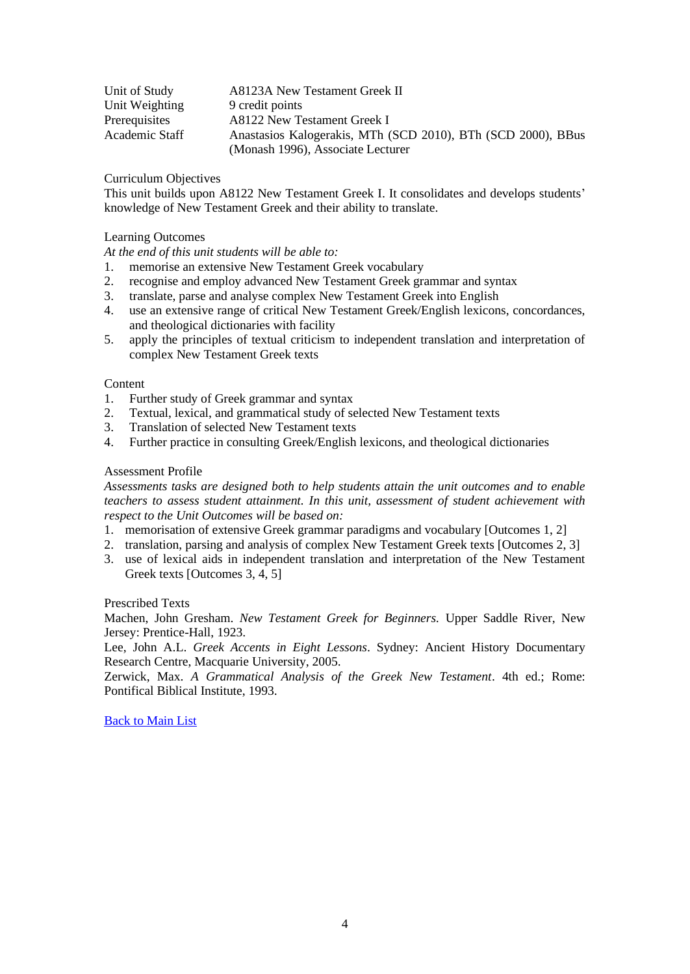| Unit of Study  | A8123A New Testament Greek II                                |
|----------------|--------------------------------------------------------------|
| Unit Weighting | 9 credit points                                              |
| Prerequisites  | A8122 New Testament Greek I                                  |
| Academic Staff | Anastasios Kalogerakis, MTh (SCD 2010), BTh (SCD 2000), BBus |
|                | (Monash 1996), Associate Lecturer                            |

This unit builds upon A8122 New Testament Greek I. It consolidates and develops students' knowledge of New Testament Greek and their ability to translate.

## Learning Outcomes

*At the end of this unit students will be able to:*

- 1. memorise an extensive New Testament Greek vocabulary
- 2. recognise and employ advanced New Testament Greek grammar and syntax
- 3. translate, parse and analyse complex New Testament Greek into English
- 4. use an extensive range of critical New Testament Greek/English lexicons, concordances, and theological dictionaries with facility
- 5. apply the principles of textual criticism to independent translation and interpretation of complex New Testament Greek texts

## Content

- 1. Further study of Greek grammar and syntax
- 2. Textual, lexical, and grammatical study of selected New Testament texts
- 3. Translation of selected New Testament texts
- 4. Further practice in consulting Greek/English lexicons, and theological dictionaries

## Assessment Profile

*Assessments tasks are designed both to help students attain the unit outcomes and to enable teachers to assess student attainment. In this unit, assessment of student achievement with respect to the Unit Outcomes will be based on:*

- 1. memorisation of extensive Greek grammar paradigms and vocabulary [Outcomes 1, 2]
- 2. translation, parsing and analysis of complex New Testament Greek texts [Outcomes 2, 3]
- 3. use of lexical aids in independent translation and interpretation of the New Testament Greek texts [Outcomes 3, 4, 5]

# Prescribed Texts

Machen, John Gresham. *New Testament Greek for Beginners.* Upper Saddle River, New Jersey: Prentice-Hall, 1923.

Lee, John A.L. *Greek Accents in Eight Lessons*. Sydney: Ancient History Documentary Research Centre, Macquarie University, 2005.

<span id="page-3-0"></span>Zerwick, Max. *A Grammatical Analysis of the Greek New Testament*. 4th ed.; Rome: Pontifical Biblical Institute, 1993.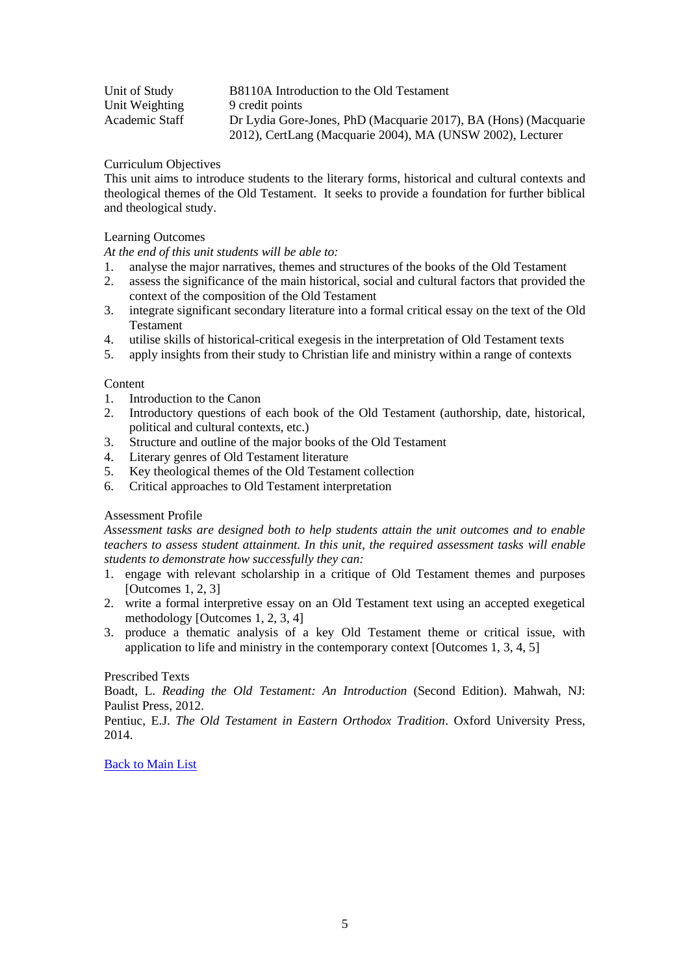| Unit of Study  | B8110A Introduction to the Old Testament                        |
|----------------|-----------------------------------------------------------------|
| Unit Weighting | 9 credit points                                                 |
| Academic Staff | Dr Lydia Gore-Jones, PhD (Macquarie 2017), BA (Hons) (Macquarie |
|                | 2012), CertLang (Macquarie 2004), MA (UNSW 2002), Lecturer      |

This unit aims to introduce students to the literary forms, historical and cultural contexts and theological themes of the Old Testament. It seeks to provide a foundation for further biblical and theological study.

# Learning Outcomes

*At the end of this unit students will be able to:*

- 1. analyse the major narratives, themes and structures of the books of the Old Testament
- 2. assess the significance of the main historical, social and cultural factors that provided the context of the composition of the Old Testament
- 3. integrate significant secondary literature into a formal critical essay on the text of the Old Testament
- 4. utilise skills of historical-critical exegesis in the interpretation of Old Testament texts
- 5. apply insights from their study to Christian life and ministry within a range of contexts

# Content

- 1. Introduction to the Canon
- 2. Introductory questions of each book of the Old Testament (authorship, date, historical, political and cultural contexts, etc.)
- 3. Structure and outline of the major books of the Old Testament
- 4. Literary genres of Old Testament literature
- 5. Key theological themes of the Old Testament collection
- 6. Critical approaches to Old Testament interpretation

# Assessment Profile

*Assessment tasks are designed both to help students attain the unit outcomes and to enable teachers to assess student attainment. In this unit, the required assessment tasks will enable students to demonstrate how successfully they can:*

- 1. engage with relevant scholarship in a critique of Old Testament themes and purposes [Outcomes 1, 2, 3]
- 2. write a formal interpretive essay on an Old Testament text using an accepted exegetical methodology [Outcomes 1, 2, 3, 4]
- 3. produce a thematic analysis of a key Old Testament theme or critical issue, with application to life and ministry in the contemporary context [Outcomes 1, 3, 4, 5]

# Prescribed Texts

Boadt, L. *Reading the Old Testament: An Introduction* (Second Edition). Mahwah, NJ: Paulist Press, 2012.

<span id="page-4-0"></span>Pentiuc, E.J. *The Old Testament in Eastern Orthodox Tradition*. Oxford University Press, 2014.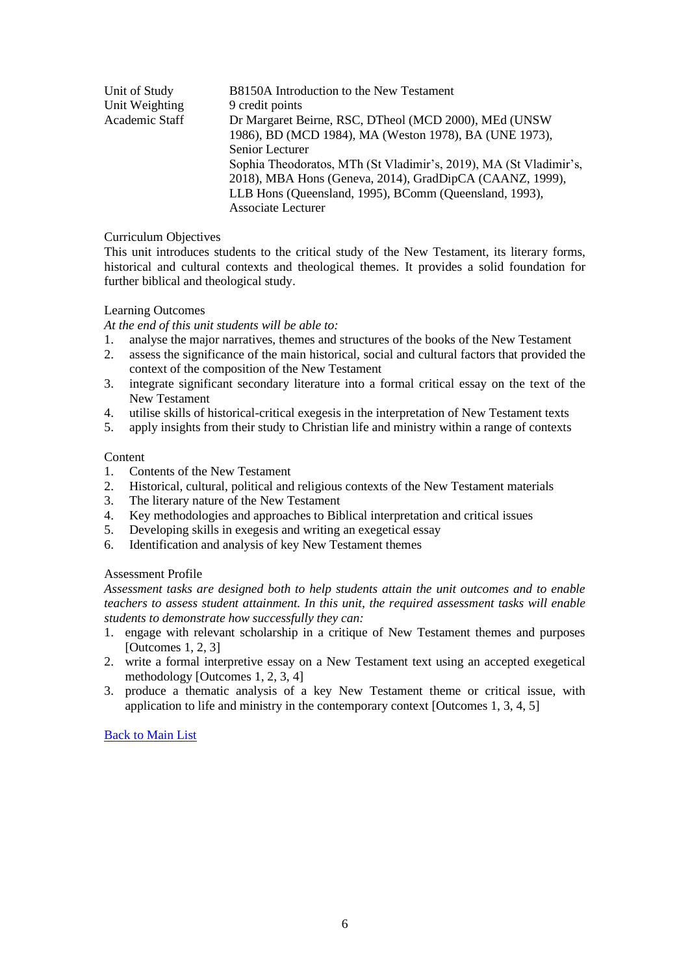| Unit of Study  | B8150A Introduction to the New Testament                          |
|----------------|-------------------------------------------------------------------|
| Unit Weighting | 9 credit points                                                   |
| Academic Staff | Dr Margaret Beirne, RSC, DTheol (MCD 2000), MEd (UNSW)            |
|                | 1986), BD (MCD 1984), MA (Weston 1978), BA (UNE 1973),            |
|                | Senior Lecturer                                                   |
|                | Sophia Theodoratos, MTh (St Vladimir's, 2019), MA (St Vladimir's, |
|                | 2018), MBA Hons (Geneva, 2014), GradDipCA (CAANZ, 1999),          |
|                | LLB Hons (Queensland, 1995), BComm (Queensland, 1993),            |
|                | <b>Associate Lecturer</b>                                         |
|                |                                                                   |

This unit introduces students to the critical study of the New Testament, its literary forms, historical and cultural contexts and theological themes. It provides a solid foundation for further biblical and theological study.

# Learning Outcomes

*At the end of this unit students will be able to:*

- 1. analyse the major narratives, themes and structures of the books of the New Testament
- 2. assess the significance of the main historical, social and cultural factors that provided the context of the composition of the New Testament
- 3. integrate significant secondary literature into a formal critical essay on the text of the New Testament
- 4. utilise skills of historical-critical exegesis in the interpretation of New Testament texts
- 5. apply insights from their study to Christian life and ministry within a range of contexts

#### Content

- 1. Contents of the New Testament
- 2. Historical, cultural, political and religious contexts of the New Testament materials
- 3. The literary nature of the New Testament
- 4. Key methodologies and approaches to Biblical interpretation and critical issues
- 5. Developing skills in exegesis and writing an exegetical essay
- 6. Identification and analysis of key New Testament themes

# Assessment Profile

*Assessment tasks are designed both to help students attain the unit outcomes and to enable teachers to assess student attainment. In this unit, the required assessment tasks will enable students to demonstrate how successfully they can:*

- 1. engage with relevant scholarship in a critique of New Testament themes and purposes [Outcomes 1, 2, 3]
- 2. write a formal interpretive essay on a New Testament text using an accepted exegetical methodology [Outcomes 1, 2, 3, 4]
- <span id="page-5-0"></span>3. produce a thematic analysis of a key New Testament theme or critical issue, with application to life and ministry in the contemporary context [Outcomes 1, 3, 4, 5]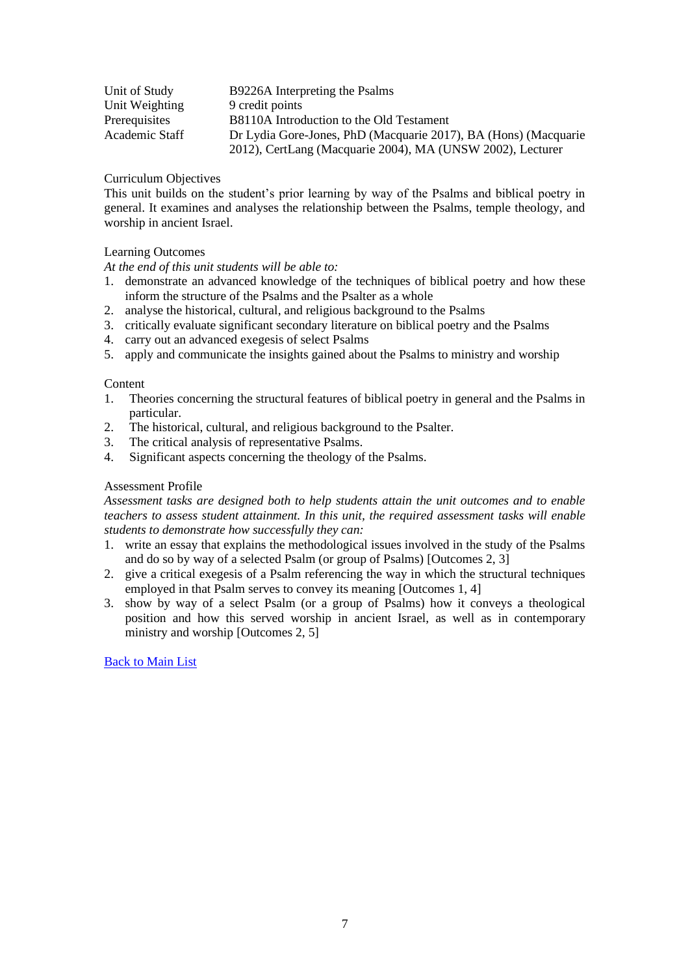| Unit of Study  | B9226A Interpreting the Psalms                                  |
|----------------|-----------------------------------------------------------------|
| Unit Weighting | 9 credit points                                                 |
| Prerequisites  | B8110A Introduction to the Old Testament                        |
| Academic Staff | Dr Lydia Gore-Jones, PhD (Macquarie 2017), BA (Hons) (Macquarie |
|                | 2012), CertLang (Macquarie 2004), MA (UNSW 2002), Lecturer      |

This unit builds on the student's prior learning by way of the Psalms and biblical poetry in general. It examines and analyses the relationship between the Psalms, temple theology, and worship in ancient Israel.

# Learning Outcomes

*At the end of this unit students will be able to:*

- 1. demonstrate an advanced knowledge of the techniques of biblical poetry and how these inform the structure of the Psalms and the Psalter as a whole
- 2. analyse the historical, cultural, and religious background to the Psalms
- 3. critically evaluate significant secondary literature on biblical poetry and the Psalms
- 4. carry out an advanced exegesis of select Psalms
- 5. apply and communicate the insights gained about the Psalms to ministry and worship

## **Content**

- 1. Theories concerning the structural features of biblical poetry in general and the Psalms in particular.
- 2. The historical, cultural, and religious background to the Psalter.
- 3. The critical analysis of representative Psalms.
- 4. Significant aspects concerning the theology of the Psalms.

## Assessment Profile

*Assessment tasks are designed both to help students attain the unit outcomes and to enable teachers to assess student attainment. In this unit, the required assessment tasks will enable students to demonstrate how successfully they can:*

- 1. write an essay that explains the methodological issues involved in the study of the Psalms and do so by way of a selected Psalm (or group of Psalms) [Outcomes 2, 3]
- 2. give a critical exegesis of a Psalm referencing the way in which the structural techniques employed in that Psalm serves to convey its meaning [Outcomes 1, 4]
- <span id="page-6-0"></span>3. show by way of a select Psalm (or a group of Psalms) how it conveys a theological position and how this served worship in ancient Israel, as well as in contemporary ministry and worship [Outcomes 2, 5]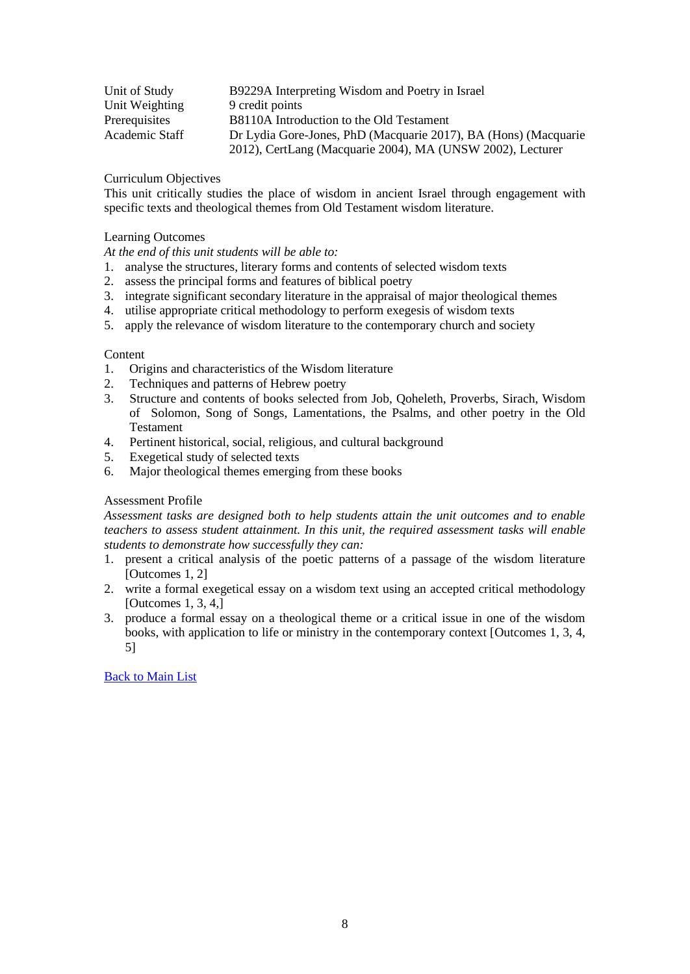| Unit of Study  | B9229A Interpreting Wisdom and Poetry in Israel                 |
|----------------|-----------------------------------------------------------------|
| Unit Weighting | 9 credit points                                                 |
| Prerequisites  | B8110A Introduction to the Old Testament                        |
| Academic Staff | Dr Lydia Gore-Jones, PhD (Macquarie 2017), BA (Hons) (Macquarie |
|                | 2012), CertLang (Macquarie 2004), MA (UNSW 2002), Lecturer      |

This unit critically studies the place of wisdom in ancient Israel through engagement with specific texts and theological themes from Old Testament wisdom literature.

# Learning Outcomes

*At the end of this unit students will be able to:*

- 1. analyse the structures, literary forms and contents of selected wisdom texts
- 2. assess the principal forms and features of biblical poetry
- 3. integrate significant secondary literature in the appraisal of major theological themes
- 4. utilise appropriate critical methodology to perform exegesis of wisdom texts
- 5. apply the relevance of wisdom literature to the contemporary church and society

# **Content**

- 1. Origins and characteristics of the Wisdom literature
- 2. Techniques and patterns of Hebrew poetry
- 3. Structure and contents of books selected from Job, Qoheleth, Proverbs, Sirach, Wisdom of Solomon, Song of Songs, Lamentations, the Psalms, and other poetry in the Old Testament
- 4. Pertinent historical, social, religious, and cultural background
- 5. Exegetical study of selected texts
- 6. Major theological themes emerging from these books

# Assessment Profile

*Assessment tasks are designed both to help students attain the unit outcomes and to enable teachers to assess student attainment. In this unit, the required assessment tasks will enable students to demonstrate how successfully they can:*

- 1. present a critical analysis of the poetic patterns of a passage of the wisdom literature [Outcomes 1, 2]
- 2. write a formal exegetical essay on a wisdom text using an accepted critical methodology [Outcomes 1, 3, 4,]
- <span id="page-7-0"></span>3. produce a formal essay on a theological theme or a critical issue in one of the wisdom books, with application to life or ministry in the contemporary context [Outcomes 1, 3, 4, 5]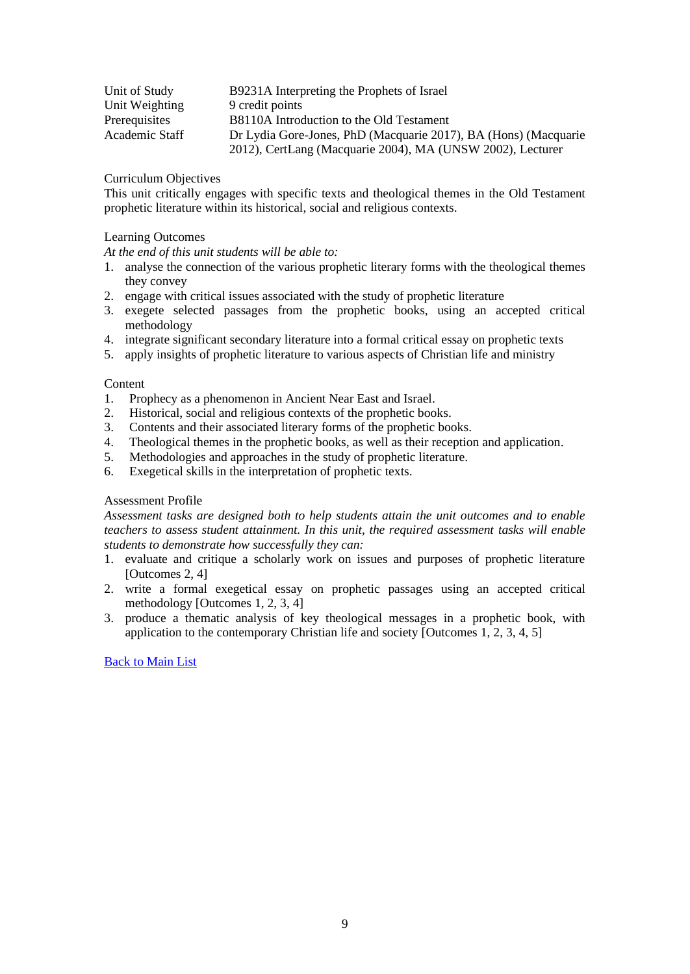| Unit of Study  | B9231A Interpreting the Prophets of Israel                      |
|----------------|-----------------------------------------------------------------|
| Unit Weighting | 9 credit points                                                 |
| Prerequisites  | B8110A Introduction to the Old Testament                        |
| Academic Staff | Dr Lydia Gore-Jones, PhD (Macquarie 2017), BA (Hons) (Macquarie |
|                | 2012), CertLang (Macquarie 2004), MA (UNSW 2002), Lecturer      |

This unit critically engages with specific texts and theological themes in the Old Testament prophetic literature within its historical, social and religious contexts.

# Learning Outcomes

*At the end of this unit students will be able to:*

- 1. analyse the connection of the various prophetic literary forms with the theological themes they convey
- 2. engage with critical issues associated with the study of prophetic literature
- 3. exegete selected passages from the prophetic books, using an accepted critical methodology
- 4. integrate significant secondary literature into a formal critical essay on prophetic texts
- 5. apply insights of prophetic literature to various aspects of Christian life and ministry

# Content

- 1. Prophecy as a phenomenon in Ancient Near East and Israel.
- 2. Historical, social and religious contexts of the prophetic books.
- 3. Contents and their associated literary forms of the prophetic books.
- 4. Theological themes in the prophetic books, as well as their reception and application.
- 5. Methodologies and approaches in the study of prophetic literature.
- 6. Exegetical skills in the interpretation of prophetic texts.

# Assessment Profile

*Assessment tasks are designed both to help students attain the unit outcomes and to enable teachers to assess student attainment. In this unit, the required assessment tasks will enable students to demonstrate how successfully they can:*

- 1. evaluate and critique a scholarly work on issues and purposes of prophetic literature [Outcomes 2, 4]
- 2. write a formal exegetical essay on prophetic passages using an accepted critical methodology [Outcomes 1, 2, 3, 4]
- <span id="page-8-0"></span>3. produce a thematic analysis of key theological messages in a prophetic book, with application to the contemporary Christian life and society [Outcomes 1, 2, 3, 4, 5]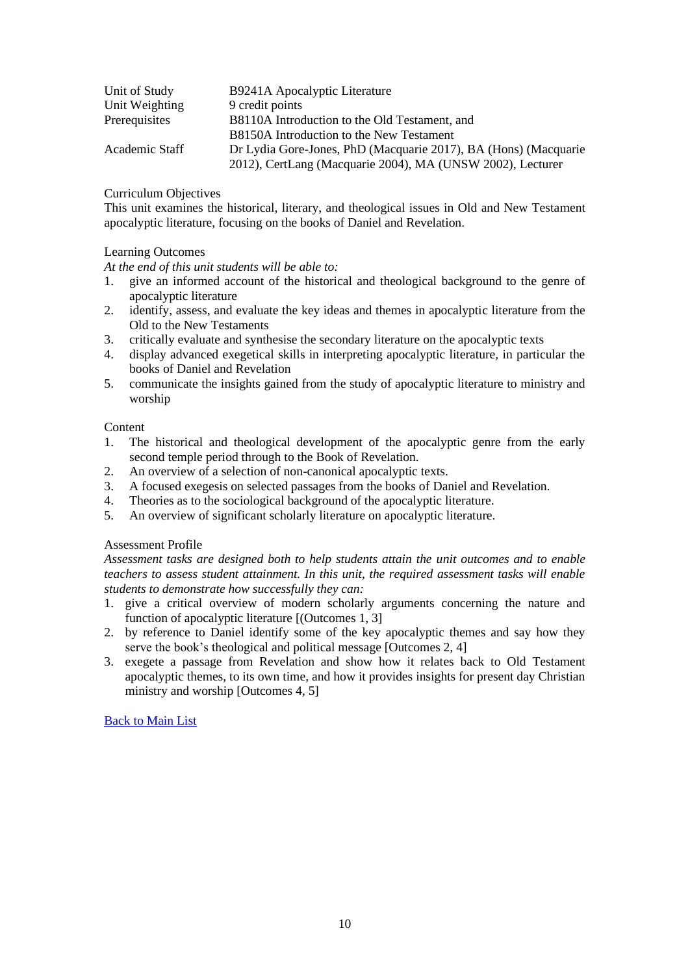| Unit of Study  | B9241A Apocalyptic Literature                                   |
|----------------|-----------------------------------------------------------------|
| Unit Weighting | 9 credit points                                                 |
| Prerequisites  | B8110A Introduction to the Old Testament, and                   |
|                | B8150A Introduction to the New Testament                        |
| Academic Staff | Dr Lydia Gore-Jones, PhD (Macquarie 2017), BA (Hons) (Macquarie |
|                | 2012), CertLang (Macquarie 2004), MA (UNSW 2002), Lecturer      |

This unit examines the historical, literary, and theological issues in Old and New Testament apocalyptic literature, focusing on the books of Daniel and Revelation.

## Learning Outcomes

*At the end of this unit students will be able to:*

- 1. give an informed account of the historical and theological background to the genre of apocalyptic literature
- 2. identify, assess, and evaluate the key ideas and themes in apocalyptic literature from the Old to the New Testaments
- 3. critically evaluate and synthesise the secondary literature on the apocalyptic texts
- 4. display advanced exegetical skills in interpreting apocalyptic literature, in particular the books of Daniel and Revelation
- 5. communicate the insights gained from the study of apocalyptic literature to ministry and worship

# Content

- 1. The historical and theological development of the apocalyptic genre from the early second temple period through to the Book of Revelation.
- 2. An overview of a selection of non-canonical apocalyptic texts.
- 3. A focused exegesis on selected passages from the books of Daniel and Revelation.
- 4. Theories as to the sociological background of the apocalyptic literature.
- 5. An overview of significant scholarly literature on apocalyptic literature.

# Assessment Profile

*Assessment tasks are designed both to help students attain the unit outcomes and to enable teachers to assess student attainment. In this unit, the required assessment tasks will enable students to demonstrate how successfully they can:*

- 1. give a critical overview of modern scholarly arguments concerning the nature and function of apocalyptic literature [(Outcomes 1, 3]
- 2. by reference to Daniel identify some of the key apocalyptic themes and say how they serve the book's theological and political message [Outcomes 2, 4]
- <span id="page-9-0"></span>3. exegete a passage from Revelation and show how it relates back to Old Testament apocalyptic themes, to its own time, and how it provides insights for present day Christian ministry and worship [Outcomes 4, 5]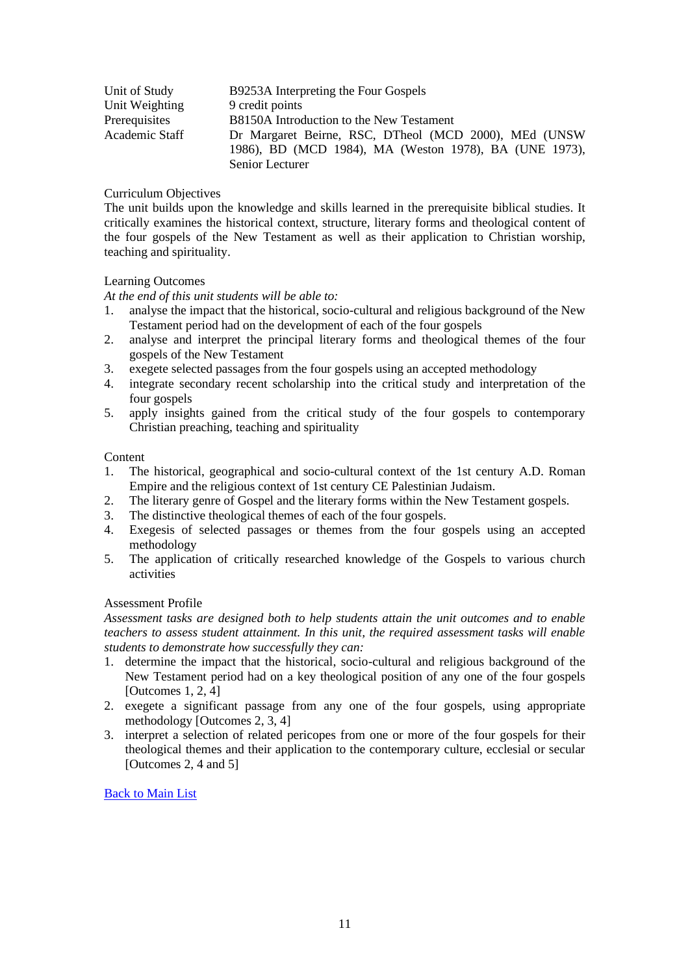| Unit of Study  | B9253A Interpreting the Four Gospels                   |
|----------------|--------------------------------------------------------|
| Unit Weighting | 9 credit points                                        |
| Prerequisites  | B8150A Introduction to the New Testament               |
| Academic Staff | Dr Margaret Beirne, RSC, DTheol (MCD 2000), MEd (UNSW  |
|                | 1986), BD (MCD 1984), MA (Weston 1978), BA (UNE 1973), |
|                | Senior Lecturer                                        |

The unit builds upon the knowledge and skills learned in the prerequisite biblical studies. It critically examines the historical context, structure, literary forms and theological content of the four gospels of the New Testament as well as their application to Christian worship, teaching and spirituality.

# Learning Outcomes

*At the end of this unit students will be able to:*

- 1. analyse the impact that the historical, socio-cultural and religious background of the New Testament period had on the development of each of the four gospels
- 2. analyse and interpret the principal literary forms and theological themes of the four gospels of the New Testament
- 3. exegete selected passages from the four gospels using an accepted methodology
- 4. integrate secondary recent scholarship into the critical study and interpretation of the four gospels
- 5. apply insights gained from the critical study of the four gospels to contemporary Christian preaching, teaching and spirituality

## Content

- 1. The historical, geographical and socio-cultural context of the 1st century A.D. Roman Empire and the religious context of 1st century CE Palestinian Judaism.
- 2. The literary genre of Gospel and the literary forms within the New Testament gospels.
- 3. The distinctive theological themes of each of the four gospels.
- 4. Exegesis of selected passages or themes from the four gospels using an accepted methodology
- 5. The application of critically researched knowledge of the Gospels to various church activities

# Assessment Profile

*Assessment tasks are designed both to help students attain the unit outcomes and to enable teachers to assess student attainment. In this unit, the required assessment tasks will enable students to demonstrate how successfully they can:*

- 1. determine the impact that the historical, socio-cultural and religious background of the New Testament period had on a key theological position of any one of the four gospels [Outcomes 1, 2, 4]
- 2. exegete a significant passage from any one of the four gospels, using appropriate methodology [Outcomes 2, 3, 4]
- <span id="page-10-0"></span>3. interpret a selection of related pericopes from one or more of the four gospels for their theological themes and their application to the contemporary culture, ecclesial or secular [Outcomes 2, 4 and 5]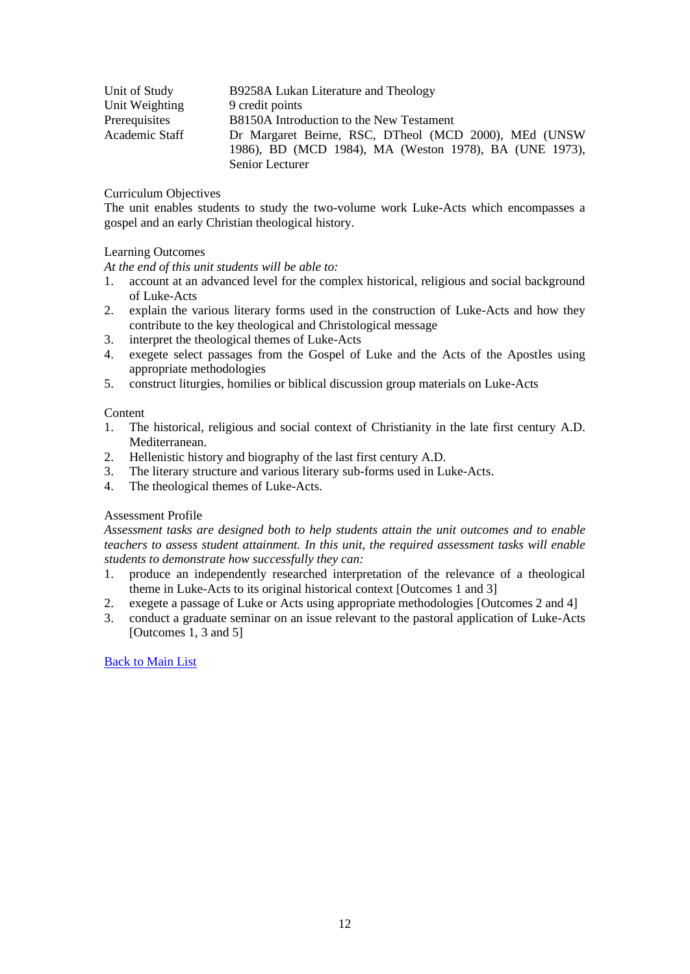| Unit of Study  | B9258A Lukan Literature and Theology                   |
|----------------|--------------------------------------------------------|
| Unit Weighting | 9 credit points                                        |
| Prerequisites  | B8150A Introduction to the New Testament               |
| Academic Staff | Dr Margaret Beirne, RSC, DTheol (MCD 2000), MEd (UNSW) |
|                | 1986), BD (MCD 1984), MA (Weston 1978), BA (UNE 1973), |
|                | Senior Lecturer                                        |

The unit enables students to study the two-volume work Luke-Acts which encompasses a gospel and an early Christian theological history.

## Learning Outcomes

*At the end of this unit students will be able to:*

- 1. account at an advanced level for the complex historical, religious and social background of Luke-Acts
- 2. explain the various literary forms used in the construction of Luke-Acts and how they contribute to the key theological and Christological message
- 3. interpret the theological themes of Luke-Acts
- 4. exegete select passages from the Gospel of Luke and the Acts of the Apostles using appropriate methodologies
- 5. construct liturgies, homilies or biblical discussion group materials on Luke-Acts

## **Content**

- 1. The historical, religious and social context of Christianity in the late first century A.D. Mediterranean.
- 2. Hellenistic history and biography of the last first century A.D.
- 3. The literary structure and various literary sub-forms used in Luke-Acts.
- 4. The theological themes of Luke-Acts.

# Assessment Profile

*Assessment tasks are designed both to help students attain the unit outcomes and to enable teachers to assess student attainment. In this unit, the required assessment tasks will enable students to demonstrate how successfully they can:*

- 1. produce an independently researched interpretation of the relevance of a theological theme in Luke-Acts to its original historical context [Outcomes 1 and 3]
- 2. exegete a passage of Luke or Acts using appropriate methodologies [Outcomes 2 and 4]
- <span id="page-11-0"></span>3. conduct a graduate seminar on an issue relevant to the pastoral application of Luke-Acts [Outcomes 1, 3 and 5]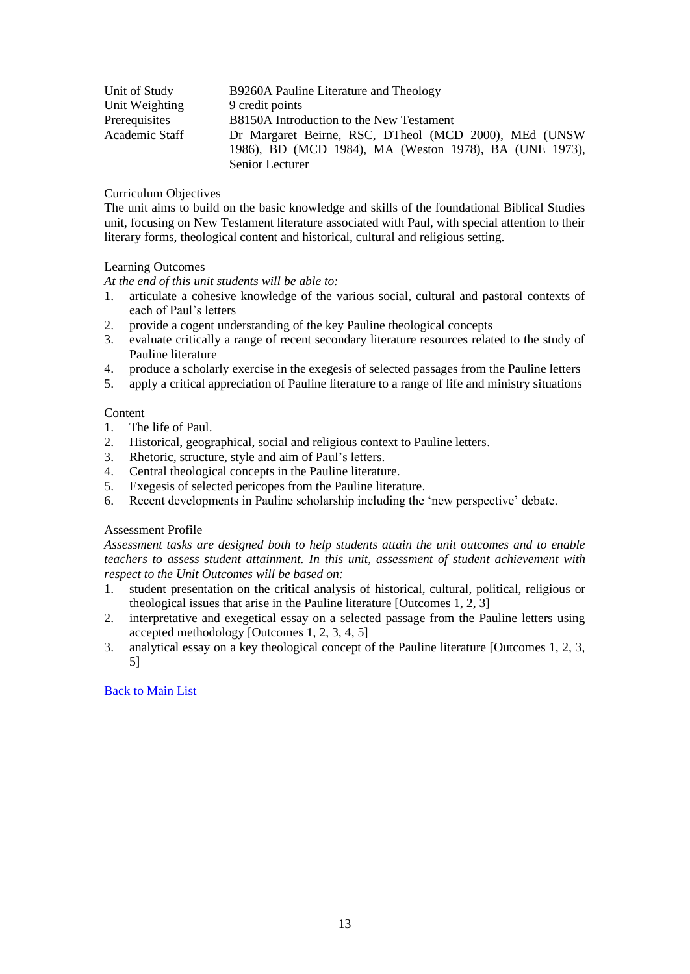| Unit of Study  | B9260A Pauline Literature and Theology                 |
|----------------|--------------------------------------------------------|
| Unit Weighting | 9 credit points                                        |
| Prerequisites  | B8150A Introduction to the New Testament               |
| Academic Staff | Dr Margaret Beirne, RSC, DTheol (MCD 2000), MEd (UNSW  |
|                | 1986), BD (MCD 1984), MA (Weston 1978), BA (UNE 1973), |
|                | Senior Lecturer                                        |

The unit aims to build on the basic knowledge and skills of the foundational Biblical Studies unit, focusing on New Testament literature associated with Paul, with special attention to their literary forms, theological content and historical, cultural and religious setting.

## Learning Outcomes

*At the end of this unit students will be able to:*

- 1. articulate a cohesive knowledge of the various social, cultural and pastoral contexts of each of Paul's letters
- 2. provide a cogent understanding of the key Pauline theological concepts
- 3. evaluate critically a range of recent secondary literature resources related to the study of Pauline literature
- 4. produce a scholarly exercise in the exegesis of selected passages from the Pauline letters
- 5. apply a critical appreciation of Pauline literature to a range of life and ministry situations

# Content

- 1. The life of Paul.
- 2. Historical, geographical, social and religious context to Pauline letters.
- 3. Rhetoric, structure, style and aim of Paul's letters.
- 4. Central theological concepts in the Pauline literature.
- 5. Exegesis of selected pericopes from the Pauline literature.
- 6. Recent developments in Pauline scholarship including the 'new perspective' debate.

# Assessment Profile

*Assessment tasks are designed both to help students attain the unit outcomes and to enable teachers to assess student attainment. In this unit, assessment of student achievement with respect to the Unit Outcomes will be based on:*

- 1. student presentation on the critical analysis of historical, cultural, political, religious or theological issues that arise in the Pauline literature [Outcomes 1, 2, 3]
- 2. interpretative and exegetical essay on a selected passage from the Pauline letters using accepted methodology [Outcomes 1, 2, 3, 4, 5]
- <span id="page-12-0"></span>3. analytical essay on a key theological concept of the Pauline literature [Outcomes 1, 2, 3, 5]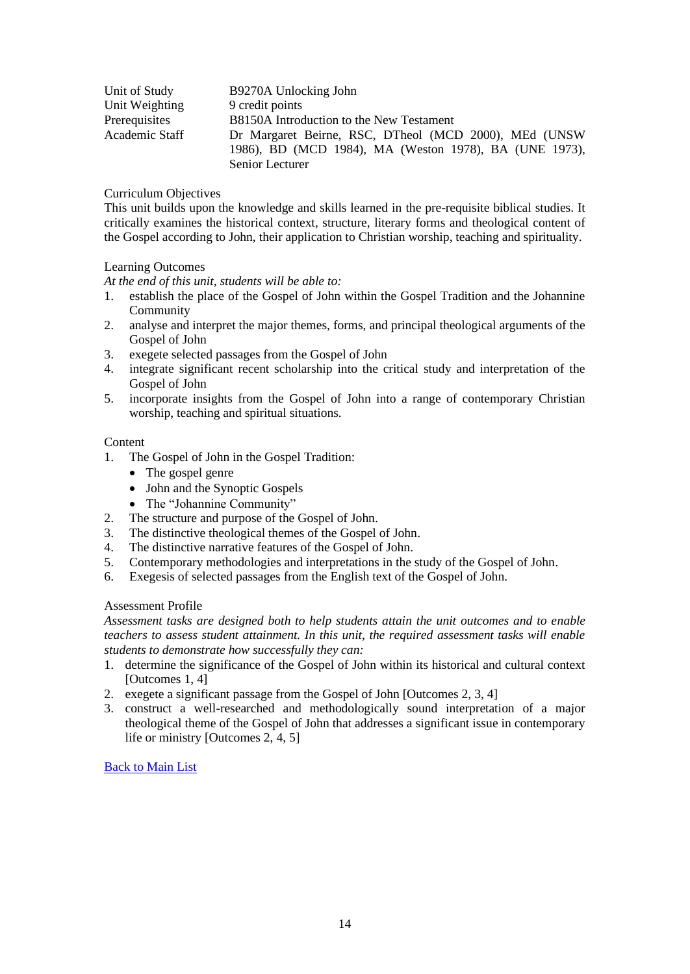| Unit of Study  | B9270A Unlocking John                                  |
|----------------|--------------------------------------------------------|
| Unit Weighting | 9 credit points                                        |
| Prerequisites  | B8150A Introduction to the New Testament               |
| Academic Staff | Dr Margaret Beirne, RSC, DTheol (MCD 2000), MEd (UNSW  |
|                | 1986), BD (MCD 1984), MA (Weston 1978), BA (UNE 1973), |
|                | Senior Lecturer                                        |

This unit builds upon the knowledge and skills learned in the pre-requisite biblical studies. It critically examines the historical context, structure, literary forms and theological content of the Gospel according to John, their application to Christian worship, teaching and spirituality.

## Learning Outcomes

*At the end of this unit, students will be able to:*

- 1. establish the place of the Gospel of John within the Gospel Tradition and the Johannine Community
- 2. analyse and interpret the major themes, forms, and principal theological arguments of the Gospel of John
- 3. exegete selected passages from the Gospel of John
- 4. integrate significant recent scholarship into the critical study and interpretation of the Gospel of John
- 5. incorporate insights from the Gospel of John into a range of contemporary Christian worship, teaching and spiritual situations.

#### **Content**

- 1. The Gospel of John in the Gospel Tradition:
	- The gospel genre
	- John and the Synoptic Gospels
	- The "Johannine Community"
- 2. The structure and purpose of the Gospel of John.
- 3. The distinctive theological themes of the Gospel of John.
- 4. The distinctive narrative features of the Gospel of John.
- 5. Contemporary methodologies and interpretations in the study of the Gospel of John.
- 6. Exegesis of selected passages from the English text of the Gospel of John.

# Assessment Profile

*Assessment tasks are designed both to help students attain the unit outcomes and to enable teachers to assess student attainment. In this unit, the required assessment tasks will enable students to demonstrate how successfully they can:*

- 1. determine the significance of the Gospel of John within its historical and cultural context [Outcomes 1, 4]
- 2. exegete a significant passage from the Gospel of John [Outcomes 2, 3, 4]
- <span id="page-13-0"></span>3. construct a well-researched and methodologically sound interpretation of a major theological theme of the Gospel of John that addresses a significant issue in contemporary life or ministry [Outcomes 2, 4, 5]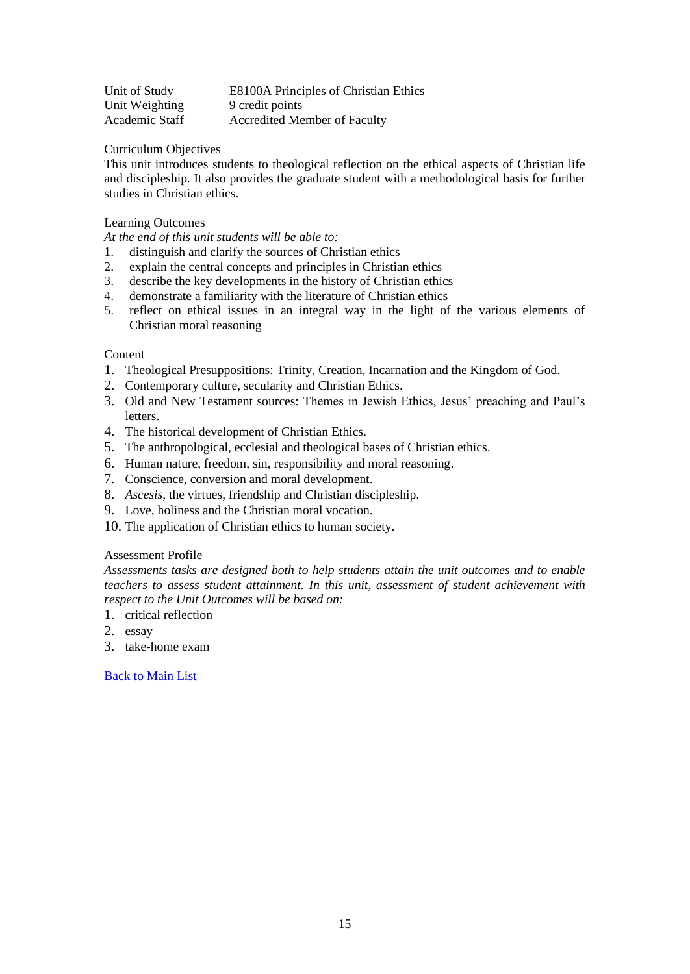| Unit of Study  | E8100A Principles of Christian Ethics |
|----------------|---------------------------------------|
| Unit Weighting | 9 credit points                       |
| Academic Staff | <b>Accredited Member of Faculty</b>   |

This unit introduces students to theological reflection on the ethical aspects of Christian life and discipleship. It also provides the graduate student with a methodological basis for further studies in Christian ethics.

# Learning Outcomes

*At the end of this unit students will be able to:*

- 1. distinguish and clarify the sources of Christian ethics
- 2. explain the central concepts and principles in Christian ethics
- 3. describe the key developments in the history of Christian ethics
- 4. demonstrate a familiarity with the literature of Christian ethics
- 5. reflect on ethical issues in an integral way in the light of the various elements of Christian moral reasoning

## **Content**

- 1. Theological Presuppositions: Trinity, Creation, Incarnation and the Kingdom of God.
- 2. Contemporary culture, secularity and Christian Ethics.
- 3. Old and New Testament sources: Themes in Jewish Ethics, Jesus' preaching and Paul's letters.
- 4. The historical development of Christian Ethics.
- 5. The anthropological, ecclesial and theological bases of Christian ethics.
- 6. Human nature, freedom, sin, responsibility and moral reasoning.
- 7. Conscience, conversion and moral development.
- 8. *Ascesis*, the virtues, friendship and Christian discipleship.
- 9. Love, holiness and the Christian moral vocation.
- 10. The application of Christian ethics to human society.

#### Assessment Profile

*Assessments tasks are designed both to help students attain the unit outcomes and to enable teachers to assess student attainment. In this unit, assessment of student achievement with respect to the Unit Outcomes will be based on:*

- 1. critical reflection
- 2. essay
- <span id="page-14-0"></span>3. take-home exam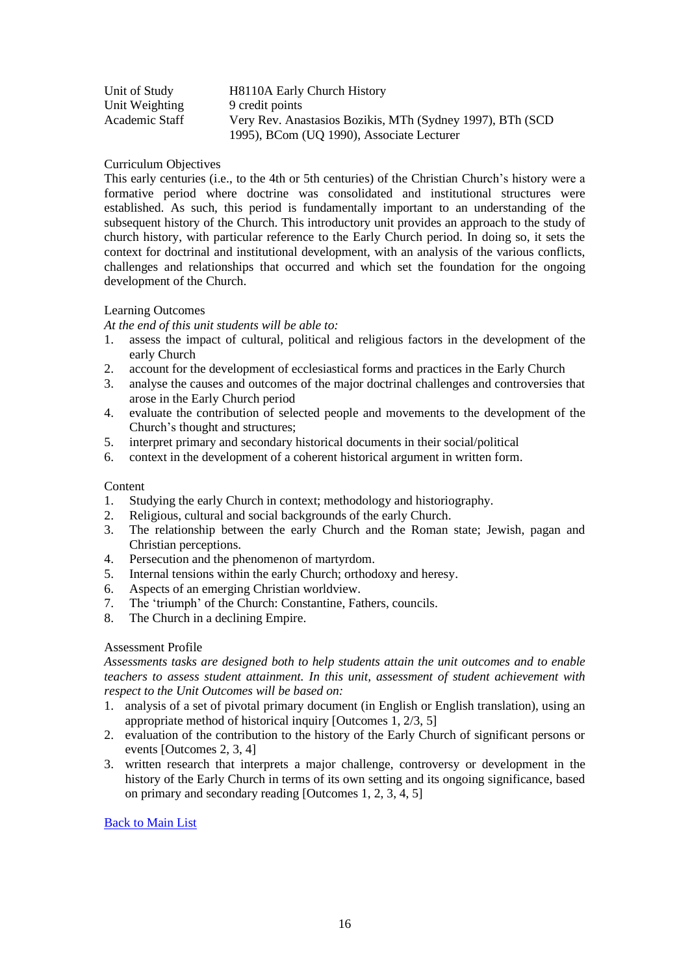| Unit of Study  | H8110A Early Church History                                |
|----------------|------------------------------------------------------------|
| Unit Weighting | 9 credit points                                            |
| Academic Staff | Very Rev. Anastasios Bozikis, MTh (Sydney 1997), BTh (SCD) |
|                | 1995), BCom (UQ 1990), Associate Lecturer                  |

This early centuries (i.e., to the 4th or 5th centuries) of the Christian Church's history were a formative period where doctrine was consolidated and institutional structures were established. As such, this period is fundamentally important to an understanding of the subsequent history of the Church. This introductory unit provides an approach to the study of church history, with particular reference to the Early Church period. In doing so, it sets the context for doctrinal and institutional development, with an analysis of the various conflicts, challenges and relationships that occurred and which set the foundation for the ongoing development of the Church.

## Learning Outcomes

*At the end of this unit students will be able to:*

- 1. assess the impact of cultural, political and religious factors in the development of the early Church
- 2. account for the development of ecclesiastical forms and practices in the Early Church
- 3. analyse the causes and outcomes of the major doctrinal challenges and controversies that arose in the Early Church period
- 4. evaluate the contribution of selected people and movements to the development of the Church's thought and structures;
- 5. interpret primary and secondary historical documents in their social/political
- 6. context in the development of a coherent historical argument in written form.

## Content

- 1. Studying the early Church in context; methodology and historiography.
- 2. Religious, cultural and social backgrounds of the early Church.
- 3. The relationship between the early Church and the Roman state; Jewish, pagan and Christian perceptions.
- 4. Persecution and the phenomenon of martyrdom.
- 5. Internal tensions within the early Church; orthodoxy and heresy.
- 6. Aspects of an emerging Christian worldview.
- 7. The 'triumph' of the Church: Constantine, Fathers, councils.
- 8. The Church in a declining Empire.

#### Assessment Profile

*Assessments tasks are designed both to help students attain the unit outcomes and to enable teachers to assess student attainment. In this unit, assessment of student achievement with respect to the Unit Outcomes will be based on:*

- 1. analysis of a set of pivotal primary document (in English or English translation), using an appropriate method of historical inquiry [Outcomes 1, 2/3, 5]
- 2. evaluation of the contribution to the history of the Early Church of significant persons or events [Outcomes 2, 3, 4]
- <span id="page-15-0"></span>3. written research that interprets a major challenge, controversy or development in the history of the Early Church in terms of its own setting and its ongoing significance, based on primary and secondary reading [Outcomes 1, 2, 3, 4, 5]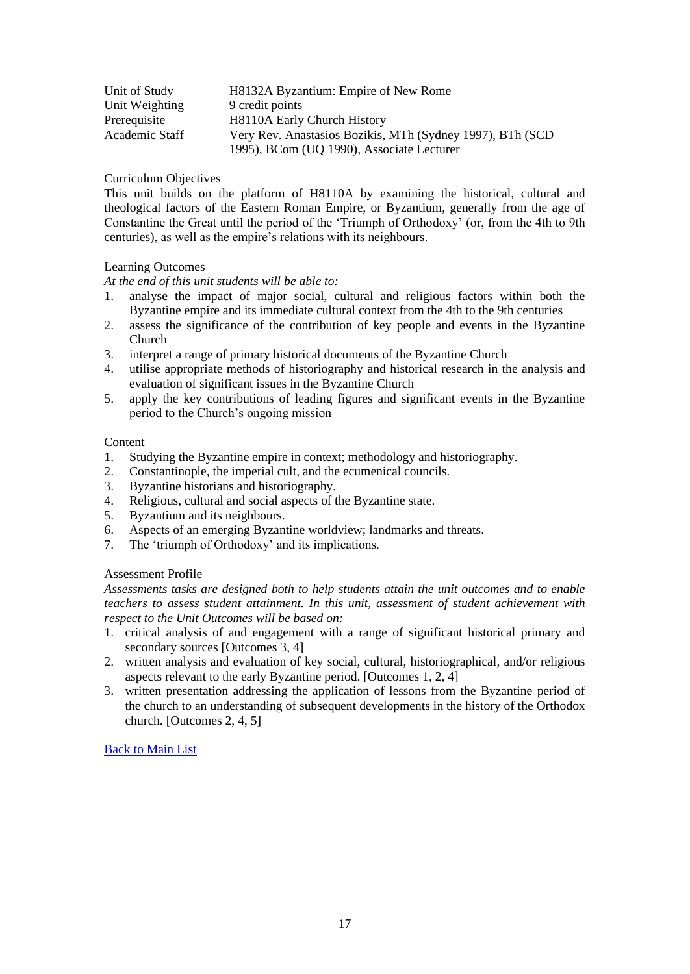| Unit of Study  | H8132A Byzantium: Empire of New Rome                       |
|----------------|------------------------------------------------------------|
| Unit Weighting | 9 credit points                                            |
| Prerequisite   | H8110A Early Church History                                |
| Academic Staff | Very Rev. Anastasios Bozikis, MTh (Sydney 1997), BTh (SCD) |
|                | 1995), BCom (UQ 1990), Associate Lecturer                  |

This unit builds on the platform of H8110A by examining the historical, cultural and theological factors of the Eastern Roman Empire, or Byzantium, generally from the age of Constantine the Great until the period of the 'Triumph of Orthodoxy' (or, from the 4th to 9th centuries), as well as the empire's relations with its neighbours.

# Learning Outcomes

*At the end of this unit students will be able to:*

- 1. analyse the impact of major social, cultural and religious factors within both the Byzantine empire and its immediate cultural context from the 4th to the 9th centuries
- 2. assess the significance of the contribution of key people and events in the Byzantine Church
- 3. interpret a range of primary historical documents of the Byzantine Church
- 4. utilise appropriate methods of historiography and historical research in the analysis and evaluation of significant issues in the Byzantine Church
- 5. apply the key contributions of leading figures and significant events in the Byzantine period to the Church's ongoing mission

#### **Content**

- 1. Studying the Byzantine empire in context; methodology and historiography.
- 2. Constantinople, the imperial cult, and the ecumenical councils.
- 3. Byzantine historians and historiography.
- 4. Religious, cultural and social aspects of the Byzantine state.
- 5. Byzantium and its neighbours.
- 6. Aspects of an emerging Byzantine worldview; landmarks and threats.
- 7. The 'triumph of Orthodoxy' and its implications.

# Assessment Profile

*Assessments tasks are designed both to help students attain the unit outcomes and to enable teachers to assess student attainment. In this unit, assessment of student achievement with respect to the Unit Outcomes will be based on:*

- 1. critical analysis of and engagement with a range of significant historical primary and secondary sources [Outcomes 3, 4]
- 2. written analysis and evaluation of key social, cultural, historiographical, and/or religious aspects relevant to the early Byzantine period. [Outcomes 1, 2, 4]
- <span id="page-16-0"></span>3. written presentation addressing the application of lessons from the Byzantine period of the church to an understanding of subsequent developments in the history of the Orthodox church. [Outcomes 2, 4, 5]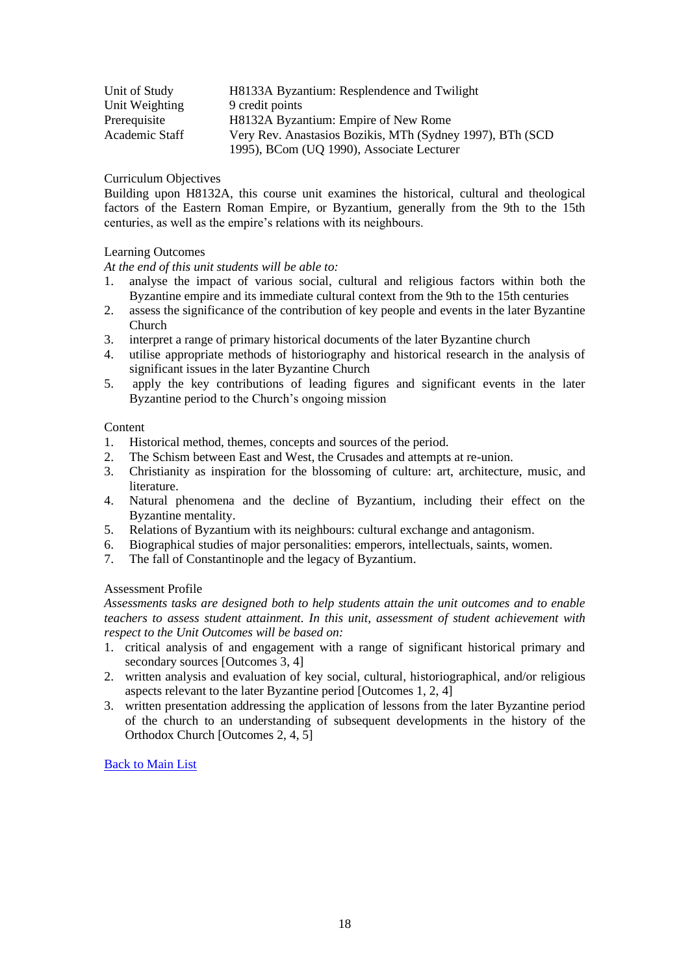| Unit of Study  | H8133A Byzantium: Resplendence and Twilight                |
|----------------|------------------------------------------------------------|
| Unit Weighting | 9 credit points                                            |
| Prerequisite   | H8132A Byzantium: Empire of New Rome                       |
| Academic Staff | Very Rev. Anastasios Bozikis, MTh (Sydney 1997), BTh (SCD) |
|                | 1995), BCom (UQ 1990), Associate Lecturer                  |

Building upon H8132A, this course unit examines the historical, cultural and theological factors of the Eastern Roman Empire, or Byzantium, generally from the 9th to the 15th centuries, as well as the empire's relations with its neighbours.

# Learning Outcomes

*At the end of this unit students will be able to:*

- 1. analyse the impact of various social, cultural and religious factors within both the Byzantine empire and its immediate cultural context from the 9th to the 15th centuries
- 2. assess the significance of the contribution of key people and events in the later Byzantine Church
- 3. interpret a range of primary historical documents of the later Byzantine church
- 4. utilise appropriate methods of historiography and historical research in the analysis of significant issues in the later Byzantine Church
- 5. apply the key contributions of leading figures and significant events in the later Byzantine period to the Church's ongoing mission

# Content

- 1. Historical method, themes, concepts and sources of the period.
- 2. The Schism between East and West, the Crusades and attempts at re-union.
- 3. Christianity as inspiration for the blossoming of culture: art, architecture, music, and literature.
- 4. Natural phenomena and the decline of Byzantium, including their effect on the Byzantine mentality.
- 5. Relations of Byzantium with its neighbours: cultural exchange and antagonism.
- 6. Biographical studies of major personalities: emperors, intellectuals, saints, women.
- 7. The fall of Constantinople and the legacy of Byzantium.

## Assessment Profile

*Assessments tasks are designed both to help students attain the unit outcomes and to enable teachers to assess student attainment. In this unit, assessment of student achievement with respect to the Unit Outcomes will be based on:*

- 1. critical analysis of and engagement with a range of significant historical primary and secondary sources [Outcomes 3, 4]
- 2. written analysis and evaluation of key social, cultural, historiographical, and/or religious aspects relevant to the later Byzantine period [Outcomes 1, 2, 4]
- <span id="page-17-0"></span>3. written presentation addressing the application of lessons from the later Byzantine period of the church to an understanding of subsequent developments in the history of the Orthodox Church [Outcomes 2, 4, 5]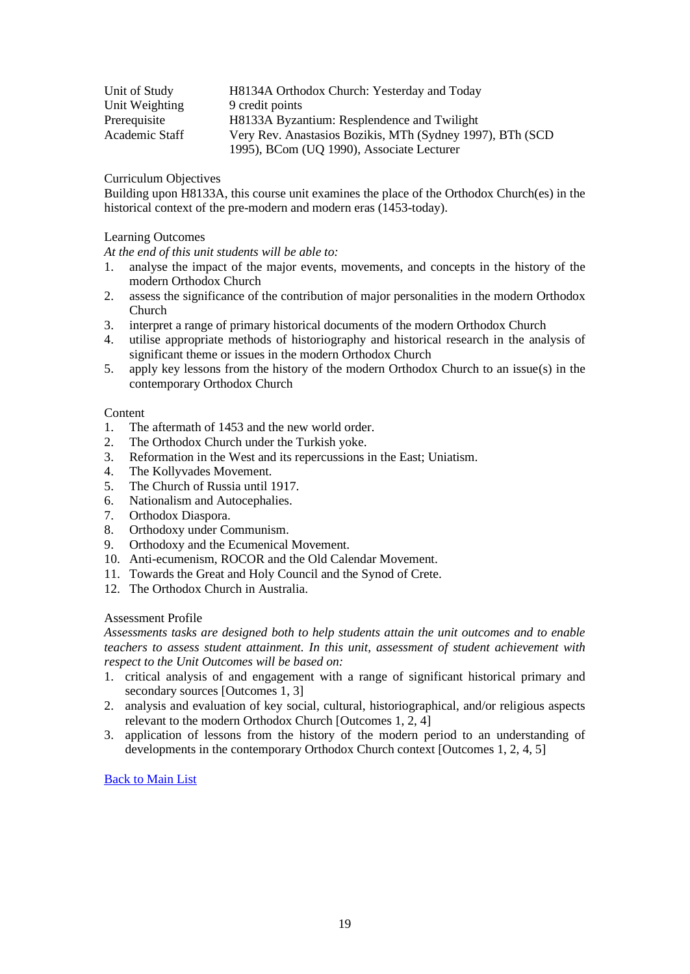| Unit of Study  | H8134A Orthodox Church: Yesterday and Today                |
|----------------|------------------------------------------------------------|
| Unit Weighting | 9 credit points                                            |
| Prerequisite   | H8133A Byzantium: Resplendence and Twilight                |
| Academic Staff | Very Rev. Anastasios Bozikis, MTh (Sydney 1997), BTh (SCD) |
|                | 1995), BCom (UQ 1990), Associate Lecturer                  |

Building upon H8133A, this course unit examines the place of the Orthodox Church(es) in the historical context of the pre-modern and modern eras (1453-today).

# Learning Outcomes

*At the end of this unit students will be able to:*

- 1. analyse the impact of the major events, movements, and concepts in the history of the modern Orthodox Church
- 2. assess the significance of the contribution of major personalities in the modern Orthodox Church
- 3. interpret a range of primary historical documents of the modern Orthodox Church
- 4. utilise appropriate methods of historiography and historical research in the analysis of significant theme or issues in the modern Orthodox Church
- 5. apply key lessons from the history of the modern Orthodox Church to an issue(s) in the contemporary Orthodox Church

# Content

- 1. The aftermath of 1453 and the new world order.
- 2. The Orthodox Church under the Turkish yoke.
- 3. Reformation in the West and its repercussions in the East; Uniatism.
- 4. The Kollyvades Movement.
- 5. The Church of Russia until 1917.
- 6. Nationalism and Autocephalies.
- 7. Orthodox Diaspora.
- 8. Orthodoxy under Communism.
- 9. Orthodoxy and the Ecumenical Movement.
- 10. Anti-ecumenism, ROCOR and the Old Calendar Movement.
- 11. Towards the Great and Holy Council and the Synod of Crete.
- 12. The Orthodox Church in Australia.

# Assessment Profile

*Assessments tasks are designed both to help students attain the unit outcomes and to enable teachers to assess student attainment. In this unit, assessment of student achievement with respect to the Unit Outcomes will be based on:*

- 1. critical analysis of and engagement with a range of significant historical primary and secondary sources [Outcomes 1, 3]
- 2. analysis and evaluation of key social, cultural, historiographical, and/or religious aspects relevant to the modern Orthodox Church [Outcomes 1, 2, 4]
- <span id="page-18-0"></span>3. application of lessons from the history of the modern period to an understanding of developments in the contemporary Orthodox Church context [Outcomes 1, 2, 4, 5]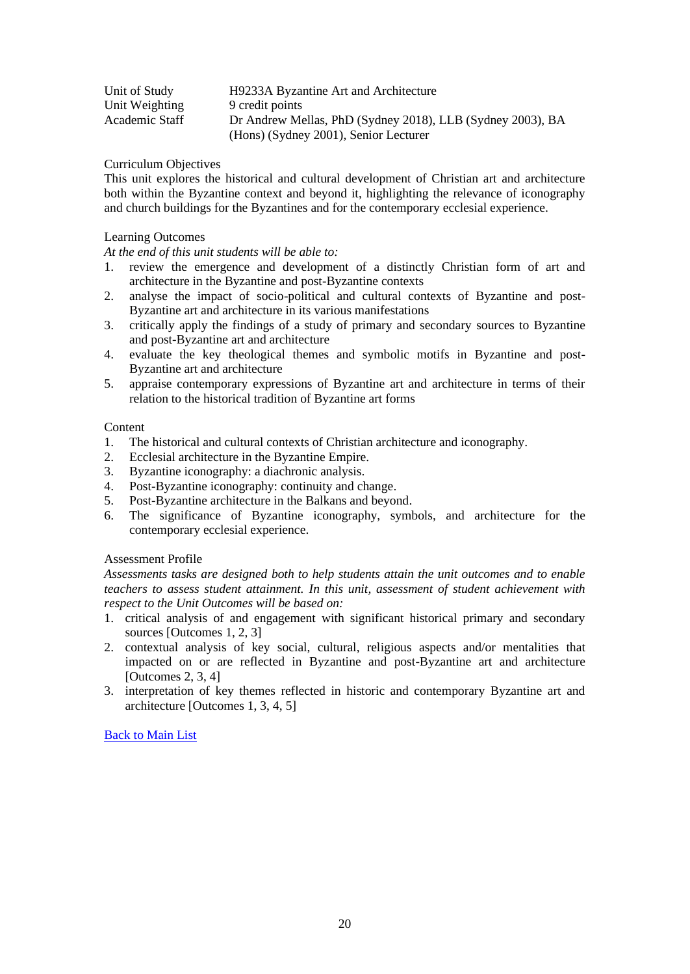| Unit of Study  | H9233A Byzantine Art and Architecture                      |
|----------------|------------------------------------------------------------|
| Unit Weighting | 9 credit points                                            |
| Academic Staff | Dr Andrew Mellas, PhD (Sydney 2018), LLB (Sydney 2003), BA |
|                | (Hons) (Sydney 2001), Senior Lecturer                      |

This unit explores the historical and cultural development of Christian art and architecture both within the Byzantine context and beyond it, highlighting the relevance of iconography and church buildings for the Byzantines and for the contemporary ecclesial experience.

## Learning Outcomes

*At the end of this unit students will be able to:*

- 1. review the emergence and development of a distinctly Christian form of art and architecture in the Byzantine and post-Byzantine contexts
- 2. analyse the impact of socio-political and cultural contexts of Byzantine and post-Byzantine art and architecture in its various manifestations
- 3. critically apply the findings of a study of primary and secondary sources to Byzantine and post-Byzantine art and architecture
- 4. evaluate the key theological themes and symbolic motifs in Byzantine and post-Byzantine art and architecture
- 5. appraise contemporary expressions of Byzantine art and architecture in terms of their relation to the historical tradition of Byzantine art forms

## **Content**

- 1. The historical and cultural contexts of Christian architecture and iconography.
- 2. Ecclesial architecture in the Byzantine Empire.
- 3. Byzantine iconography: a diachronic analysis.
- 4. Post-Byzantine iconography: continuity and change.
- 5. Post-Byzantine architecture in the Balkans and beyond.
- 6. The significance of Byzantine iconography, symbols, and architecture for the contemporary ecclesial experience.

#### Assessment Profile

*Assessments tasks are designed both to help students attain the unit outcomes and to enable teachers to assess student attainment. In this unit, assessment of student achievement with respect to the Unit Outcomes will be based on:*

- 1. critical analysis of and engagement with significant historical primary and secondary sources [Outcomes 1, 2, 3]
- 2. contextual analysis of key social, cultural, religious aspects and/or mentalities that impacted on or are reflected in Byzantine and post-Byzantine art and architecture  $[Outcomes 2, 3, 4]$
- <span id="page-19-0"></span>3. interpretation of key themes reflected in historic and contemporary Byzantine art and architecture [Outcomes 1, 3, 4, 5]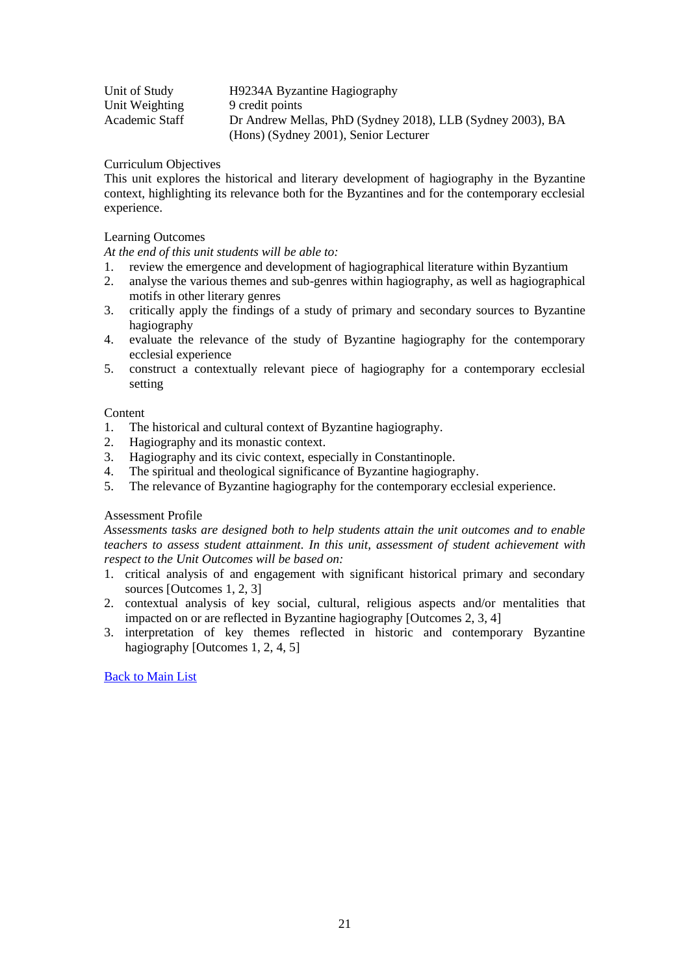| Unit of Study  | H9234A Byzantine Hagiography                                                                        |
|----------------|-----------------------------------------------------------------------------------------------------|
| Unit Weighting | 9 credit points                                                                                     |
| Academic Staff | Dr Andrew Mellas, PhD (Sydney 2018), LLB (Sydney 2003), BA<br>(Hons) (Sydney 2001), Senior Lecturer |

This unit explores the historical and literary development of hagiography in the Byzantine context, highlighting its relevance both for the Byzantines and for the contemporary ecclesial experience.

## Learning Outcomes

*At the end of this unit students will be able to:*

- 1. review the emergence and development of hagiographical literature within Byzantium
- 2. analyse the various themes and sub-genres within hagiography, as well as hagiographical motifs in other literary genres
- 3. critically apply the findings of a study of primary and secondary sources to Byzantine hagiography
- 4. evaluate the relevance of the study of Byzantine hagiography for the contemporary ecclesial experience
- 5. construct a contextually relevant piece of hagiography for a contemporary ecclesial setting

# **Content**

- 1. The historical and cultural context of Byzantine hagiography.
- 2. Hagiography and its monastic context.
- 3. Hagiography and its civic context, especially in Constantinople.
- 4. The spiritual and theological significance of Byzantine hagiography.
- 5. The relevance of Byzantine hagiography for the contemporary ecclesial experience.

#### Assessment Profile

*Assessments tasks are designed both to help students attain the unit outcomes and to enable teachers to assess student attainment. In this unit, assessment of student achievement with respect to the Unit Outcomes will be based on:*

- 1. critical analysis of and engagement with significant historical primary and secondary sources [Outcomes 1, 2, 3]
- 2. contextual analysis of key social, cultural, religious aspects and/or mentalities that impacted on or are reflected in Byzantine hagiography [Outcomes 2, 3, 4]
- <span id="page-20-0"></span>3. interpretation of key themes reflected in historic and contemporary Byzantine hagiography [Outcomes 1, 2, 4, 5]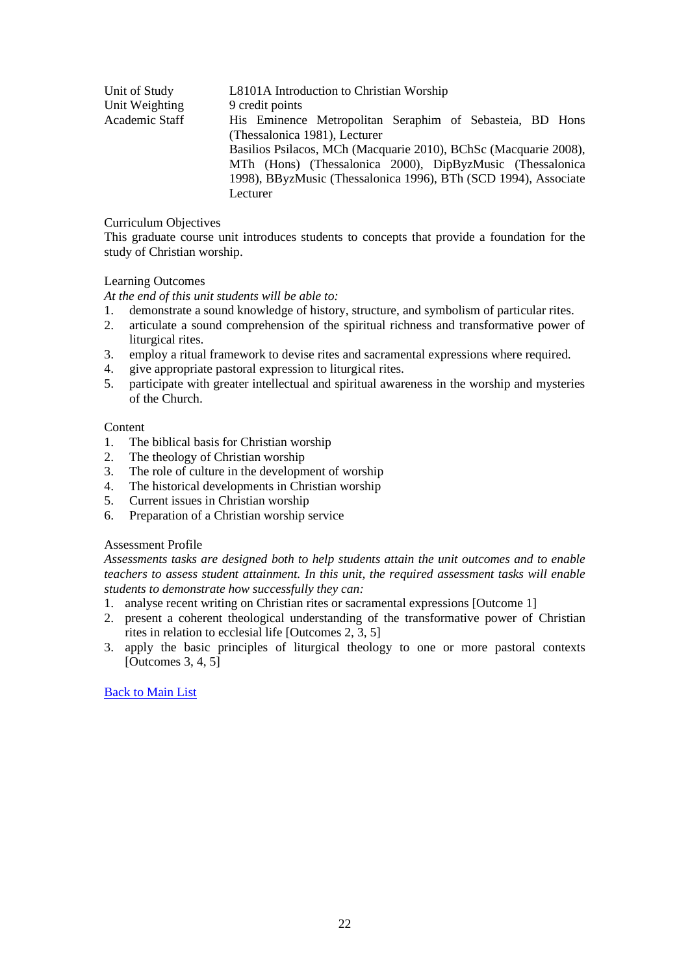| Unit of Study  | L8101A Introduction to Christian Worship                         |
|----------------|------------------------------------------------------------------|
| Unit Weighting | 9 credit points                                                  |
| Academic Staff | His Eminence Metropolitan Seraphim of Sebasteia, BD Hons         |
|                | (Thessalonica 1981), Lecturer                                    |
|                | Basilios Psilacos, MCh (Macquarie 2010), BChSc (Macquarie 2008), |
|                | MTh (Hons) (Thessalonica 2000), DipByzMusic (Thessalonica        |
|                | 1998), BByzMusic (Thessalonica 1996), BTh (SCD 1994), Associate  |
|                | Lecturer                                                         |

This graduate course unit introduces students to concepts that provide a foundation for the study of Christian worship.

# Learning Outcomes

*At the end of this unit students will be able to:*

- 1. demonstrate a sound knowledge of history, structure, and symbolism of particular rites.
- 2. articulate a sound comprehension of the spiritual richness and transformative power of liturgical rites.
- 3. employ a ritual framework to devise rites and sacramental expressions where required.
- 4. give appropriate pastoral expression to liturgical rites.
- 5. participate with greater intellectual and spiritual awareness in the worship and mysteries of the Church.

**Content** 

- 1. The biblical basis for Christian worship
- 2. The theology of Christian worship
- 3. The role of culture in the development of worship
- 4. The historical developments in Christian worship
- 5. Current issues in Christian worship
- 6. Preparation of a Christian worship service

## Assessment Profile

*Assessments tasks are designed both to help students attain the unit outcomes and to enable teachers to assess student attainment. In this unit, the required assessment tasks will enable students to demonstrate how successfully they can:*

- 1. analyse recent writing on Christian rites or sacramental expressions [Outcome 1]
- 2. present a coherent theological understanding of the transformative power of Christian rites in relation to ecclesial life [Outcomes 2, 3, 5]
- <span id="page-21-0"></span>3. apply the basic principles of liturgical theology to one or more pastoral contexts [Outcomes 3, 4, 5]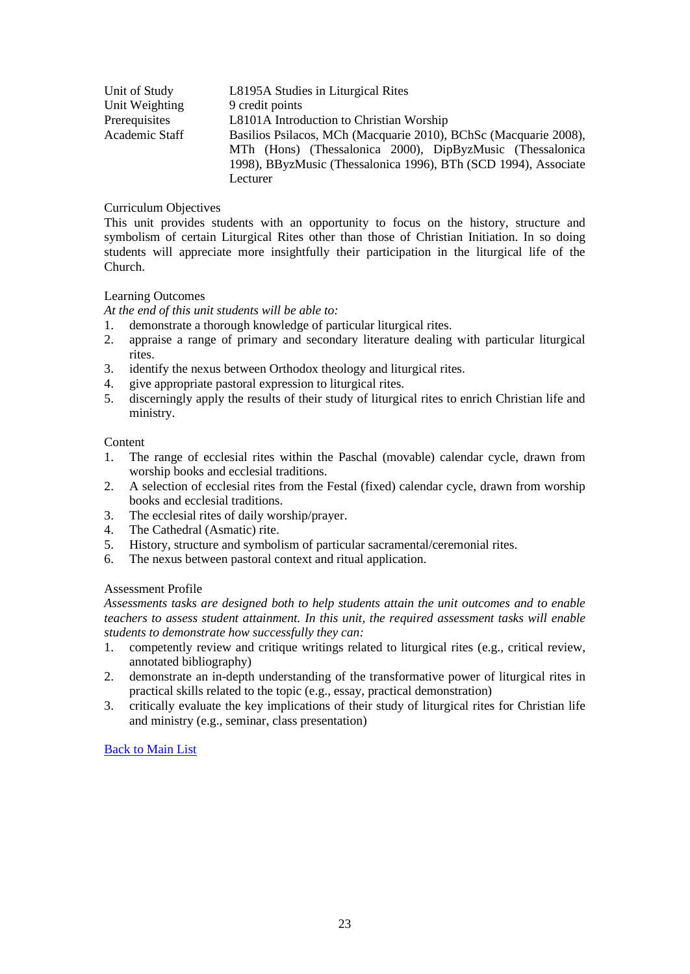| Unit of Study  | L8195A Studies in Liturgical Rites                               |
|----------------|------------------------------------------------------------------|
| Unit Weighting | 9 credit points                                                  |
| Prerequisites  | L8101A Introduction to Christian Worship                         |
| Academic Staff | Basilios Psilacos, MCh (Macquarie 2010), BChSc (Macquarie 2008), |
|                | MTh (Hons) (Thessalonica 2000), DipByzMusic (Thessalonica        |
|                | 1998), BByzMusic (Thessalonica 1996), BTh (SCD 1994), Associate  |
|                | Lecturer                                                         |

This unit provides students with an opportunity to focus on the history, structure and symbolism of certain Liturgical Rites other than those of Christian Initiation. In so doing students will appreciate more insightfully their participation in the liturgical life of the Church.

# Learning Outcomes

*At the end of this unit students will be able to:*

- 1. demonstrate a thorough knowledge of particular liturgical rites.
- 2. appraise a range of primary and secondary literature dealing with particular liturgical rites.
- 3. identify the nexus between Orthodox theology and liturgical rites.
- 4. give appropriate pastoral expression to liturgical rites.
- 5. discerningly apply the results of their study of liturgical rites to enrich Christian life and ministry.

## **Content**

- 1. The range of ecclesial rites within the Paschal (movable) calendar cycle, drawn from worship books and ecclesial traditions.
- 2. A selection of ecclesial rites from the Festal (fixed) calendar cycle, drawn from worship books and ecclesial traditions.
- 3. The ecclesial rites of daily worship/prayer.
- 4. The Cathedral (Asmatic) rite.
- 5. History, structure and symbolism of particular sacramental/ceremonial rites.
- 6. The nexus between pastoral context and ritual application.

# Assessment Profile

*Assessments tasks are designed both to help students attain the unit outcomes and to enable teachers to assess student attainment. In this unit, the required assessment tasks will enable students to demonstrate how successfully they can:*

- 1. competently review and critique writings related to liturgical rites (e.g., critical review, annotated bibliography)
- 2. demonstrate an in-depth understanding of the transformative power of liturgical rites in practical skills related to the topic (e.g., essay, practical demonstration)
- <span id="page-22-0"></span>3. critically evaluate the key implications of their study of liturgical rites for Christian life and ministry (e.g., seminar, class presentation)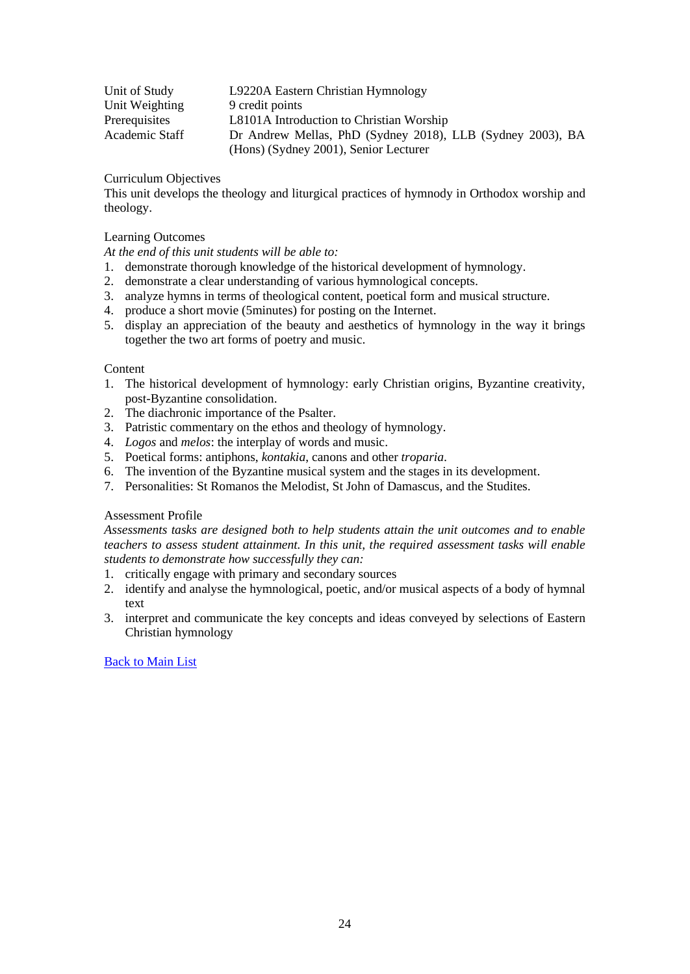| Unit of Study  | L9220A Eastern Christian Hymnology                         |
|----------------|------------------------------------------------------------|
| Unit Weighting | 9 credit points                                            |
| Prerequisites  | L8101A Introduction to Christian Worship                   |
| Academic Staff | Dr Andrew Mellas, PhD (Sydney 2018), LLB (Sydney 2003), BA |
|                | (Hons) (Sydney 2001), Senior Lecturer                      |

This unit develops the theology and liturgical practices of hymnody in Orthodox worship and theology.

## Learning Outcomes

*At the end of this unit students will be able to:*

- 1. demonstrate thorough knowledge of the historical development of hymnology.
- 2. demonstrate a clear understanding of various hymnological concepts.
- 3. analyze hymns in terms of theological content, poetical form and musical structure.
- 4. produce a short movie (5minutes) for posting on the Internet.
- 5. display an appreciation of the beauty and aesthetics of hymnology in the way it brings together the two art forms of poetry and music.

#### Content

- 1. The historical development of hymnology: early Christian origins, Byzantine creativity, post-Byzantine consolidation.
- 2. The diachronic importance of the Psalter.
- 3. Patristic commentary on the ethos and theology of hymnology.
- 4. *Logos* and *melos*: the interplay of words and music.
- 5. Poetical forms: antiphons, *kontakia*, canons and other *troparia*.
- 6. The invention of the Byzantine musical system and the stages in its development.
- 7. Personalities: St Romanos the Melodist, St John of Damascus, and the Studites.

#### Assessment Profile

*Assessments tasks are designed both to help students attain the unit outcomes and to enable teachers to assess student attainment. In this unit, the required assessment tasks will enable students to demonstrate how successfully they can:*

- 1. critically engage with primary and secondary sources
- 2. identify and analyse the hymnological, poetic, and/or musical aspects of a body of hymnal text
- <span id="page-23-0"></span>3. interpret and communicate the key concepts and ideas conveyed by selections of Eastern Christian hymnology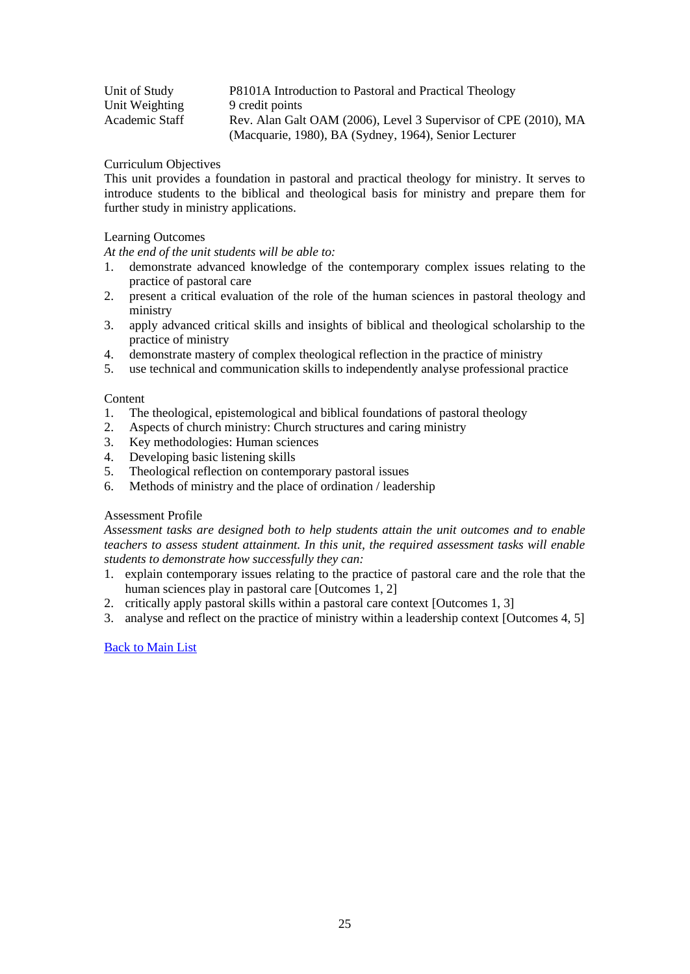| Unit of Study  | P8101A Introduction to Pastoral and Practical Theology          |
|----------------|-----------------------------------------------------------------|
| Unit Weighting | 9 credit points                                                 |
| Academic Staff | Rev. Alan Galt OAM (2006), Level 3 Supervisor of CPE (2010), MA |
|                | (Macquarie, 1980), BA (Sydney, 1964), Senior Lecturer           |

This unit provides a foundation in pastoral and practical theology for ministry. It serves to introduce students to the biblical and theological basis for ministry and prepare them for further study in ministry applications.

## Learning Outcomes

*At the end of the unit students will be able to:*

- 1. demonstrate advanced knowledge of the contemporary complex issues relating to the practice of pastoral care
- 2. present a critical evaluation of the role of the human sciences in pastoral theology and ministry
- 3. apply advanced critical skills and insights of biblical and theological scholarship to the practice of ministry
- 4. demonstrate mastery of complex theological reflection in the practice of ministry
- 5. use technical and communication skills to independently analyse professional practice

#### Content

- 1. The theological, epistemological and biblical foundations of pastoral theology
- 2. Aspects of church ministry: Church structures and caring ministry
- 3. Key methodologies: Human sciences
- 4. Developing basic listening skills
- 5. Theological reflection on contemporary pastoral issues
- 6. Methods of ministry and the place of ordination / leadership

# Assessment Profile

*Assessment tasks are designed both to help students attain the unit outcomes and to enable teachers to assess student attainment. In this unit, the required assessment tasks will enable students to demonstrate how successfully they can:*

- 1. explain contemporary issues relating to the practice of pastoral care and the role that the human sciences play in pastoral care [Outcomes 1, 2]
- 2. critically apply pastoral skills within a pastoral care context [Outcomes 1, 3]
- <span id="page-24-0"></span>3. analyse and reflect on the practice of ministry within a leadership context [Outcomes 4, 5]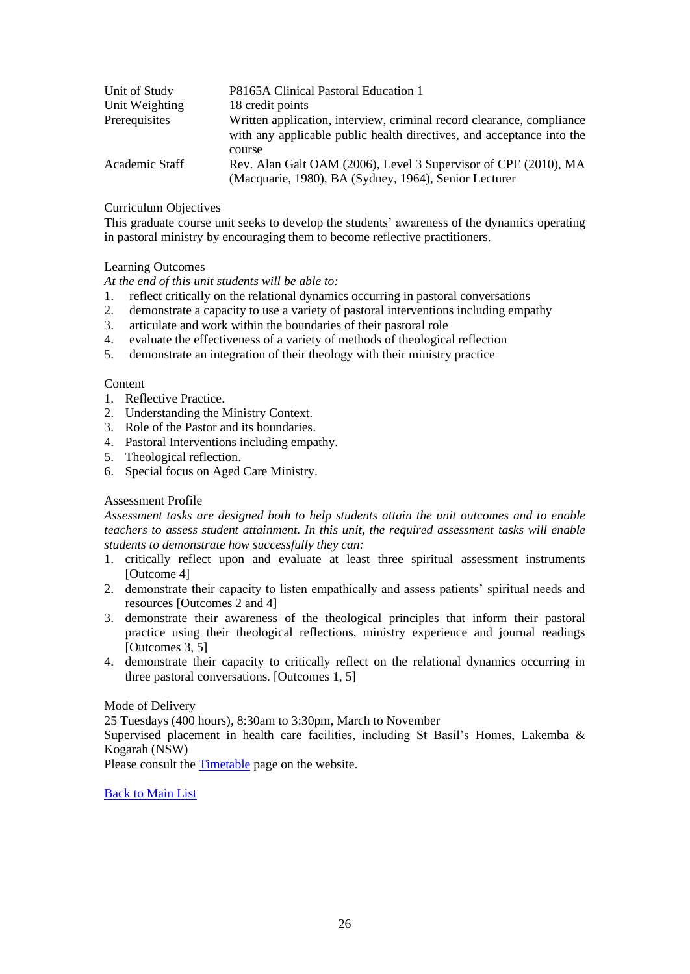| Unit of Study  | P8165A Clinical Pastoral Education 1                                                                                                           |
|----------------|------------------------------------------------------------------------------------------------------------------------------------------------|
| Unit Weighting | 18 credit points                                                                                                                               |
| Prerequisites  | Written application, interview, criminal record clearance, compliance<br>with any applicable public health directives, and acceptance into the |
|                | course                                                                                                                                         |
| Academic Staff | Rev. Alan Galt OAM (2006), Level 3 Supervisor of CPE (2010), MA                                                                                |
|                | (Macquarie, 1980), BA (Sydney, 1964), Senior Lecturer                                                                                          |

This graduate course unit seeks to develop the students' awareness of the dynamics operating in pastoral ministry by encouraging them to become reflective practitioners.

# Learning Outcomes

*At the end of this unit students will be able to:*

- 1. reflect critically on the relational dynamics occurring in pastoral conversations
- 2. demonstrate a capacity to use a variety of pastoral interventions including empathy
- 3. articulate and work within the boundaries of their pastoral role
- 4. evaluate the effectiveness of a variety of methods of theological reflection
- 5. demonstrate an integration of their theology with their ministry practice

## **Content**

- 1. Reflective Practice.
- 2. Understanding the Ministry Context.
- 3. Role of the Pastor and its boundaries.
- 4. Pastoral Interventions including empathy.
- 5. Theological reflection.
- 6. Special focus on Aged Care Ministry.

# Assessment Profile

*Assessment tasks are designed both to help students attain the unit outcomes and to enable teachers to assess student attainment. In this unit, the required assessment tasks will enable students to demonstrate how successfully they can:*

- 1. critically reflect upon and evaluate at least three spiritual assessment instruments [Outcome 4]
- 2. demonstrate their capacity to listen empathically and assess patients' spiritual needs and resources [Outcomes 2 and 4]
- 3. demonstrate their awareness of the theological principles that inform their pastoral practice using their theological reflections, ministry experience and journal readings [Outcomes 3, 5]
- 4. demonstrate their capacity to critically reflect on the relational dynamics occurring in three pastoral conversations. [Outcomes 1, 5]

## Mode of Delivery

25 Tuesdays (400 hours), 8:30am to 3:30pm, March to November

Supervised placement in health care facilities, including St Basil's Homes, Lakemba & Kogarah (NSW)

<span id="page-25-0"></span>Please consult the [Timetable](http://www.sagotc.edu.au/studies/timetables) page on the website.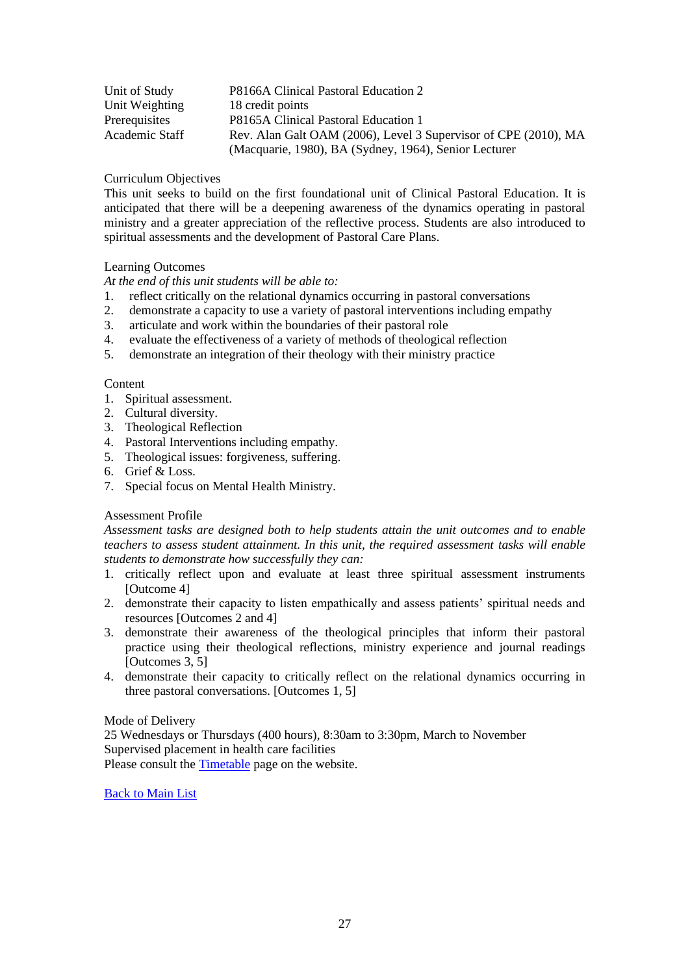| Unit of Study  | P8166A Clinical Pastoral Education 2                            |
|----------------|-----------------------------------------------------------------|
| Unit Weighting | 18 credit points                                                |
| Prerequisites  | P8165A Clinical Pastoral Education 1                            |
| Academic Staff | Rev. Alan Galt OAM (2006), Level 3 Supervisor of CPE (2010), MA |
|                | (Macquarie, 1980), BA (Sydney, 1964), Senior Lecturer           |

This unit seeks to build on the first foundational unit of Clinical Pastoral Education. It is anticipated that there will be a deepening awareness of the dynamics operating in pastoral ministry and a greater appreciation of the reflective process. Students are also introduced to spiritual assessments and the development of Pastoral Care Plans.

# Learning Outcomes

*At the end of this unit students will be able to:*

- 1. reflect critically on the relational dynamics occurring in pastoral conversations
- 2. demonstrate a capacity to use a variety of pastoral interventions including empathy
- 3. articulate and work within the boundaries of their pastoral role
- 4. evaluate the effectiveness of a variety of methods of theological reflection
- 5. demonstrate an integration of their theology with their ministry practice

# Content

- 1. Spiritual assessment.
- 2. Cultural diversity.
- 3. Theological Reflection
- 4. Pastoral Interventions including empathy.
- 5. Theological issues: forgiveness, suffering.
- 6. Grief & Loss.
- 7. Special focus on Mental Health Ministry.

# Assessment Profile

*Assessment tasks are designed both to help students attain the unit outcomes and to enable teachers to assess student attainment. In this unit, the required assessment tasks will enable students to demonstrate how successfully they can:*

- 1. critically reflect upon and evaluate at least three spiritual assessment instruments [Outcome 4]
- 2. demonstrate their capacity to listen empathically and assess patients' spiritual needs and resources [Outcomes 2 and 4]
- 3. demonstrate their awareness of the theological principles that inform their pastoral practice using their theological reflections, ministry experience and journal readings [Outcomes 3, 5]
- 4. demonstrate their capacity to critically reflect on the relational dynamics occurring in three pastoral conversations. [Outcomes 1, 5]

# Mode of Delivery

25 Wednesdays or Thursdays (400 hours), 8:30am to 3:30pm, March to November Supervised placement in health care facilities

<span id="page-26-0"></span>Please consult the **Timetable** page on the website.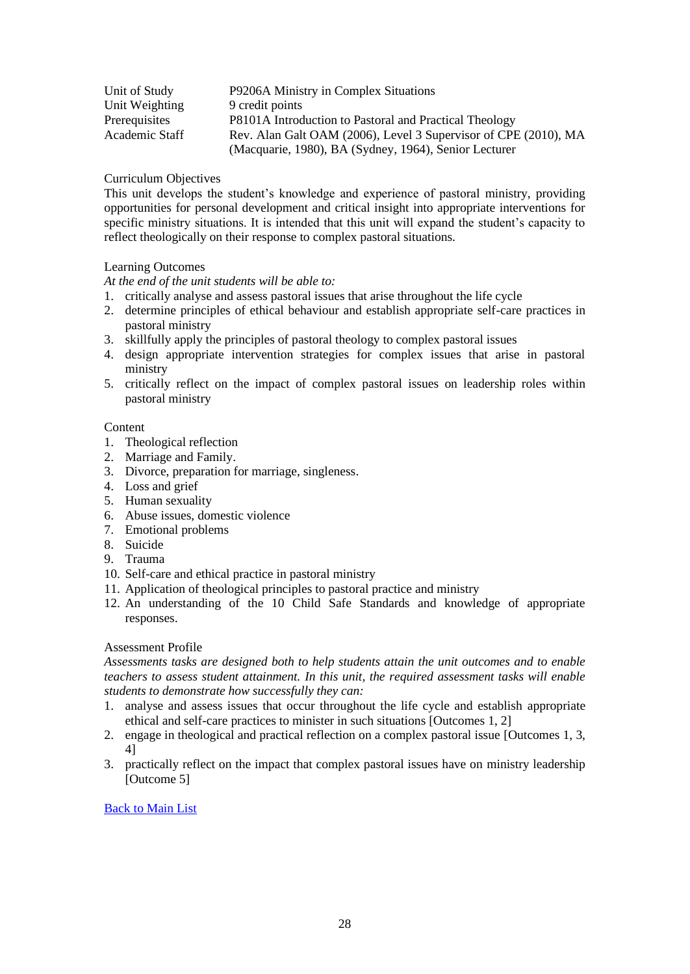| Unit of Study  | P9206A Ministry in Complex Situations                           |
|----------------|-----------------------------------------------------------------|
| Unit Weighting | 9 credit points                                                 |
| Prerequisites  | P8101A Introduction to Pastoral and Practical Theology          |
| Academic Staff | Rev. Alan Galt OAM (2006), Level 3 Supervisor of CPE (2010), MA |
|                | (Macquarie, 1980), BA (Sydney, 1964), Senior Lecturer           |

This unit develops the student's knowledge and experience of pastoral ministry, providing opportunities for personal development and critical insight into appropriate interventions for specific ministry situations. It is intended that this unit will expand the student's capacity to reflect theologically on their response to complex pastoral situations.

# Learning Outcomes

*At the end of the unit students will be able to:*

- 1. critically analyse and assess pastoral issues that arise throughout the life cycle
- 2. determine principles of ethical behaviour and establish appropriate self-care practices in pastoral ministry
- 3. skillfully apply the principles of pastoral theology to complex pastoral issues
- 4. design appropriate intervention strategies for complex issues that arise in pastoral ministry
- 5. critically reflect on the impact of complex pastoral issues on leadership roles within pastoral ministry

# Content

- 1. Theological reflection
- 2. Marriage and Family.
- 3. Divorce, preparation for marriage, singleness.
- 4. Loss and grief
- 5. Human sexuality
- 6. Abuse issues, domestic violence
- 7. Emotional problems
- 8. Suicide
- 9. Trauma
- 10. Self-care and ethical practice in pastoral ministry
- 11. Application of theological principles to pastoral practice and ministry
- 12. An understanding of the 10 Child Safe Standards and knowledge of appropriate responses.

# Assessment Profile

*Assessments tasks are designed both to help students attain the unit outcomes and to enable teachers to assess student attainment. In this unit, the required assessment tasks will enable students to demonstrate how successfully they can:*

- 1. analyse and assess issues that occur throughout the life cycle and establish appropriate ethical and self-care practices to minister in such situations [Outcomes 1, 2]
- 2. engage in theological and practical reflection on a complex pastoral issue [Outcomes 1, 3, 4]
- <span id="page-27-0"></span>3. practically reflect on the impact that complex pastoral issues have on ministry leadership [Outcome 5]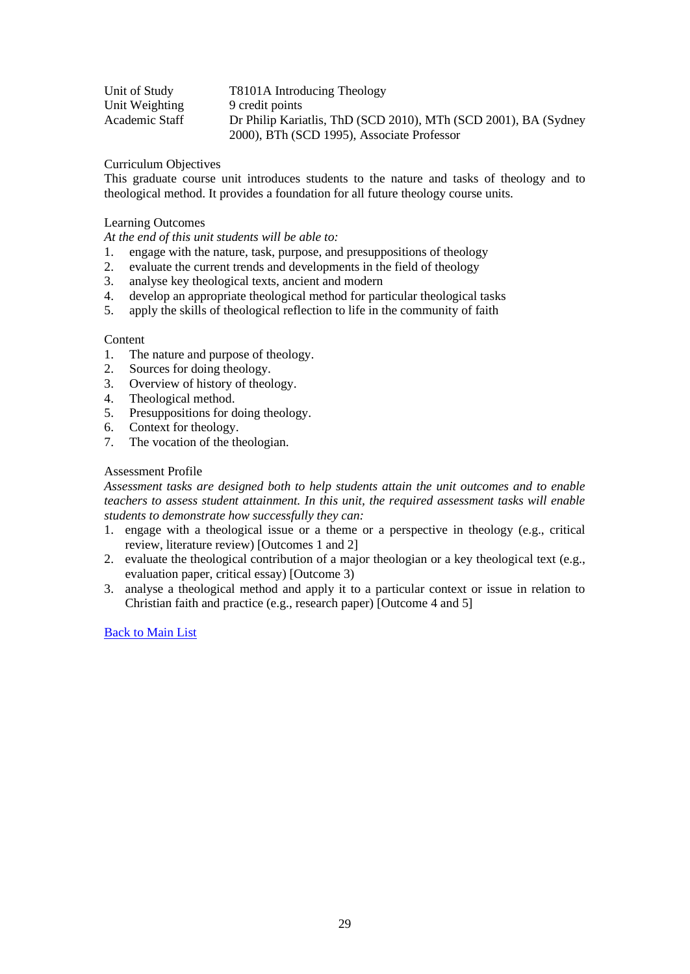| Unit of Study  | T8101A Introducing Theology                                     |
|----------------|-----------------------------------------------------------------|
| Unit Weighting | 9 credit points                                                 |
| Academic Staff | Dr Philip Kariatlis, ThD (SCD 2010), MTh (SCD 2001), BA (Sydney |
|                | 2000), BTh (SCD 1995), Associate Professor                      |

This graduate course unit introduces students to the nature and tasks of theology and to theological method. It provides a foundation for all future theology course units.

# Learning Outcomes

*At the end of this unit students will be able to:*

- 1. engage with the nature, task, purpose, and presuppositions of theology
- 2. evaluate the current trends and developments in the field of theology
- 3. analyse key theological texts, ancient and modern
- 4. develop an appropriate theological method for particular theological tasks<br>5. apply the skills of theological reflection to life in the community of faith
- apply the skills of theological reflection to life in the community of faith

#### Content

- 1. The nature and purpose of theology.
- 2. Sources for doing theology.
- 3. Overview of history of theology.
- 4. Theological method.
- 5. Presuppositions for doing theology.
- 6. Context for theology.
- 7. The vocation of the theologian.

#### Assessment Profile

*Assessment tasks are designed both to help students attain the unit outcomes and to enable teachers to assess student attainment. In this unit, the required assessment tasks will enable students to demonstrate how successfully they can:* 

- 1. engage with a theological issue or a theme or a perspective in theology (e.g., critical review, literature review) [Outcomes 1 and 2]
- 2. evaluate the theological contribution of a major theologian or a key theological text (e.g., evaluation paper, critical essay) [Outcome 3)
- <span id="page-28-0"></span>3. analyse a theological method and apply it to a particular context or issue in relation to Christian faith and practice (e.g., research paper) [Outcome 4 and 5]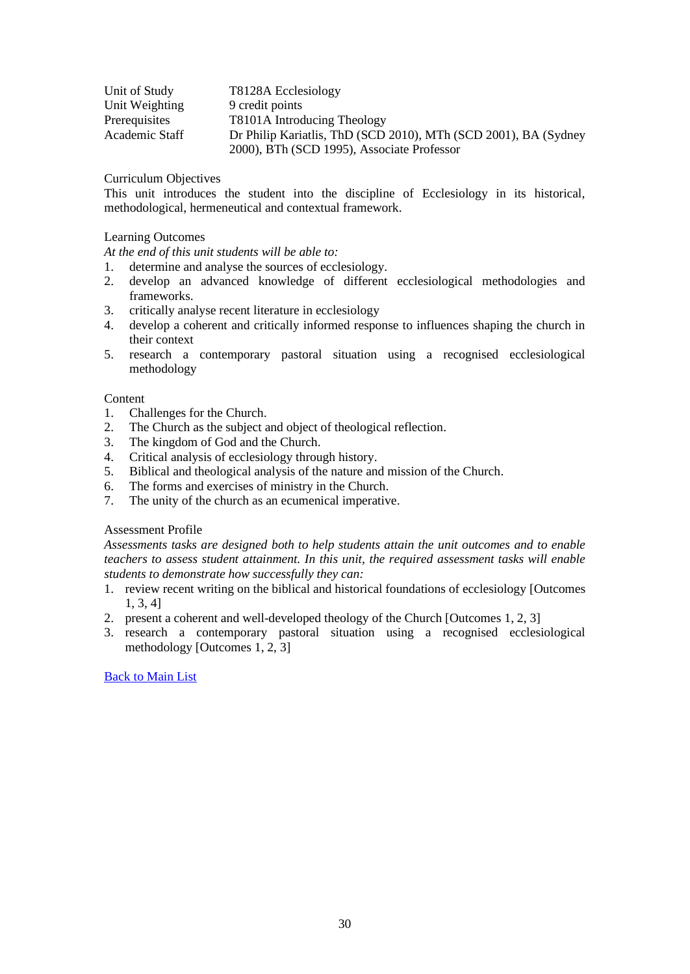| Unit of Study  | T8128A Ecclesiology                                             |
|----------------|-----------------------------------------------------------------|
| Unit Weighting | 9 credit points                                                 |
| Prerequisites  | T8101A Introducing Theology                                     |
| Academic Staff | Dr Philip Kariatlis, ThD (SCD 2010), MTh (SCD 2001), BA (Sydney |
|                | 2000), BTh (SCD 1995), Associate Professor                      |

This unit introduces the student into the discipline of Ecclesiology in its historical, methodological, hermeneutical and contextual framework.

## Learning Outcomes

*At the end of this unit students will be able to:*

- 1. determine and analyse the sources of ecclesiology.
- 2. develop an advanced knowledge of different ecclesiological methodologies and frameworks.
- 3. critically analyse recent literature in ecclesiology
- 4. develop a coherent and critically informed response to influences shaping the church in their context
- 5. research a contemporary pastoral situation using a recognised ecclesiological methodology

#### Content

- 1. Challenges for the Church.
- 2. The Church as the subject and object of theological reflection.
- 3. The kingdom of God and the Church.
- 4. Critical analysis of ecclesiology through history.
- 5. Biblical and theological analysis of the nature and mission of the Church.
- 6. The forms and exercises of ministry in the Church.
- 7. The unity of the church as an ecumenical imperative.

## Assessment Profile

*Assessments tasks are designed both to help students attain the unit outcomes and to enable teachers to assess student attainment. In this unit, the required assessment tasks will enable students to demonstrate how successfully they can:* 

- 1. review recent writing on the biblical and historical foundations of ecclesiology [Outcomes 1, 3, 4]
- 2. present a coherent and well-developed theology of the Church [Outcomes 1, 2, 3]
- <span id="page-29-0"></span>3. research a contemporary pastoral situation using a recognised ecclesiological methodology [Outcomes 1, 2, 3]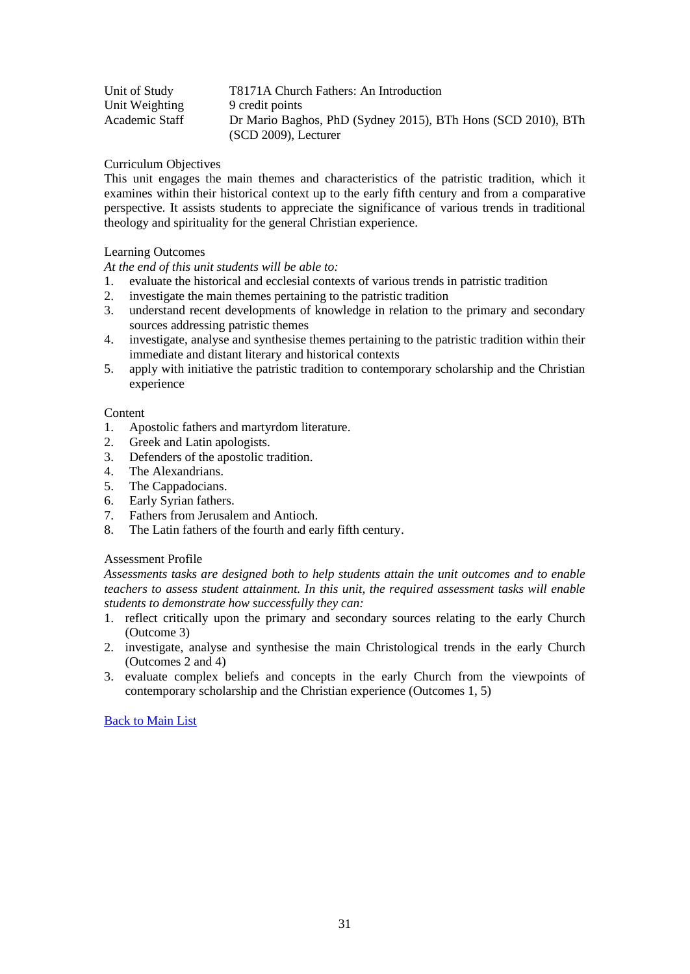| Unit of Study  | T8171A Church Fathers: An Introduction                       |
|----------------|--------------------------------------------------------------|
| Unit Weighting | 9 credit points                                              |
| Academic Staff | Dr Mario Baghos, PhD (Sydney 2015), BTh Hons (SCD 2010), BTh |
|                | $(SCD 2009)$ , Lecturer                                      |

This unit engages the main themes and characteristics of the patristic tradition, which it examines within their historical context up to the early fifth century and from a comparative perspective. It assists students to appreciate the significance of various trends in traditional theology and spirituality for the general Christian experience.

# Learning Outcomes

*At the end of this unit students will be able to:*

- 1. evaluate the historical and ecclesial contexts of various trends in patristic tradition
- 2. investigate the main themes pertaining to the patristic tradition
- 3. understand recent developments of knowledge in relation to the primary and secondary sources addressing patristic themes
- 4. investigate, analyse and synthesise themes pertaining to the patristic tradition within their immediate and distant literary and historical contexts
- 5. apply with initiative the patristic tradition to contemporary scholarship and the Christian experience

# **Content**

- 1. Apostolic fathers and martyrdom literature.
- 2. Greek and Latin apologists.
- 3. Defenders of the apostolic tradition.
- 4. The Alexandrians.
- 5. The Cappadocians.
- 6. Early Syrian fathers.
- 7. Fathers from Jerusalem and Antioch.
- 8. The Latin fathers of the fourth and early fifth century.

# Assessment Profile

*Assessments tasks are designed both to help students attain the unit outcomes and to enable teachers to assess student attainment. In this unit, the required assessment tasks will enable students to demonstrate how successfully they can:*

- 1. reflect critically upon the primary and secondary sources relating to the early Church (Outcome 3)
- 2. investigate, analyse and synthesise the main Christological trends in the early Church (Outcomes 2 and 4)
- <span id="page-30-0"></span>3. evaluate complex beliefs and concepts in the early Church from the viewpoints of contemporary scholarship and the Christian experience (Outcomes 1, 5)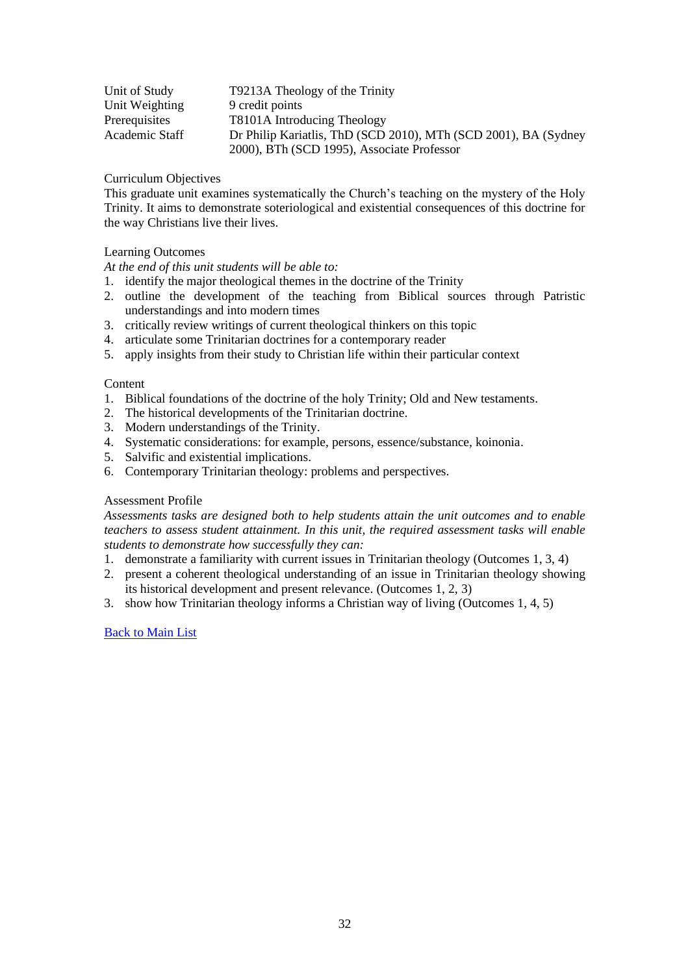| Unit of Study  | T9213A Theology of the Trinity                                  |
|----------------|-----------------------------------------------------------------|
| Unit Weighting | 9 credit points                                                 |
| Prerequisites  | T8101A Introducing Theology                                     |
| Academic Staff | Dr Philip Kariatlis, ThD (SCD 2010), MTh (SCD 2001), BA (Sydney |
|                | 2000), BTh (SCD 1995), Associate Professor                      |

This graduate unit examines systematically the Church's teaching on the mystery of the Holy Trinity. It aims to demonstrate soteriological and existential consequences of this doctrine for the way Christians live their lives.

# Learning Outcomes

*At the end of this unit students will be able to:*

- 1. identify the major theological themes in the doctrine of the Trinity
- 2. outline the development of the teaching from Biblical sources through Patristic understandings and into modern times
- 3. critically review writings of current theological thinkers on this topic
- 4. articulate some Trinitarian doctrines for a contemporary reader
- 5. apply insights from their study to Christian life within their particular context

## Content

- 1. Biblical foundations of the doctrine of the holy Trinity; Old and New testaments.
- 2. The historical developments of the Trinitarian doctrine.
- 3. Modern understandings of the Trinity.
- 4. Systematic considerations: for example, persons, essence/substance, koinonia.
- 5. Salvific and existential implications.
- 6. Contemporary Trinitarian theology: problems and perspectives.

# Assessment Profile

*Assessments tasks are designed both to help students attain the unit outcomes and to enable teachers to assess student attainment. In this unit, the required assessment tasks will enable students to demonstrate how successfully they can:*

- 1. demonstrate a familiarity with current issues in Trinitarian theology (Outcomes 1, 3, 4)
- 2. present a coherent theological understanding of an issue in Trinitarian theology showing its historical development and present relevance. (Outcomes 1, 2, 3)
- <span id="page-31-0"></span>3. show how Trinitarian theology informs a Christian way of living (Outcomes 1, 4, 5)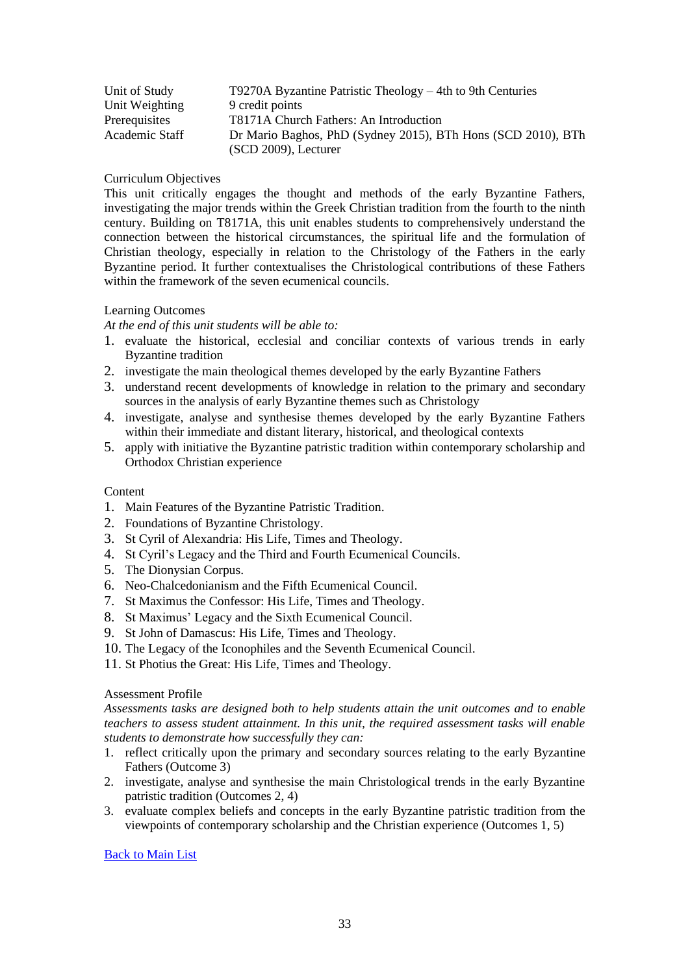| Unit of Study  | T9270A Byzantine Patristic Theology $-4$ th to 9th Centuries |
|----------------|--------------------------------------------------------------|
| Unit Weighting | 9 credit points                                              |
| Prerequisites  | T8171A Church Fathers: An Introduction                       |
| Academic Staff | Dr Mario Baghos, PhD (Sydney 2015), BTh Hons (SCD 2010), BTh |
|                | $(SCD 2009)$ , Lecturer                                      |

This unit critically engages the thought and methods of the early Byzantine Fathers, investigating the major trends within the Greek Christian tradition from the fourth to the ninth century. Building on T8171A, this unit enables students to comprehensively understand the connection between the historical circumstances, the spiritual life and the formulation of Christian theology, especially in relation to the Christology of the Fathers in the early Byzantine period. It further contextualises the Christological contributions of these Fathers within the framework of the seven ecumenical councils.

# Learning Outcomes

*At the end of this unit students will be able to:*

- 1. evaluate the historical, ecclesial and conciliar contexts of various trends in early Byzantine tradition
- 2. investigate the main theological themes developed by the early Byzantine Fathers
- 3. understand recent developments of knowledge in relation to the primary and secondary sources in the analysis of early Byzantine themes such as Christology
- 4. investigate, analyse and synthesise themes developed by the early Byzantine Fathers within their immediate and distant literary, historical, and theological contexts
- 5. apply with initiative the Byzantine patristic tradition within contemporary scholarship and Orthodox Christian experience

## Content

- 1. Main Features of the Byzantine Patristic Tradition.
- 2. Foundations of Byzantine Christology.
- 3. St Cyril of Alexandria: His Life, Times and Theology.
- 4. St Cyril's Legacy and the Third and Fourth Ecumenical Councils.
- 5. The Dionysian Corpus.
- 6. Neo-Chalcedonianism and the Fifth Ecumenical Council.
- 7. St Maximus the Confessor: His Life, Times and Theology.
- 8. St Maximus' Legacy and the Sixth Ecumenical Council.
- 9. St John of Damascus: His Life, Times and Theology.
- 10. The Legacy of the Iconophiles and the Seventh Ecumenical Council.
- 11. St Photius the Great: His Life, Times and Theology.

## Assessment Profile

*Assessments tasks are designed both to help students attain the unit outcomes and to enable teachers to assess student attainment. In this unit, the required assessment tasks will enable students to demonstrate how successfully they can:*

- 1. reflect critically upon the primary and secondary sources relating to the early Byzantine Fathers (Outcome 3)
- 2. investigate, analyse and synthesise the main Christological trends in the early Byzantine patristic tradition (Outcomes 2, 4)
- <span id="page-32-0"></span>3. evaluate complex beliefs and concepts in the early Byzantine patristic tradition from the viewpoints of contemporary scholarship and the Christian experience (Outcomes 1, 5)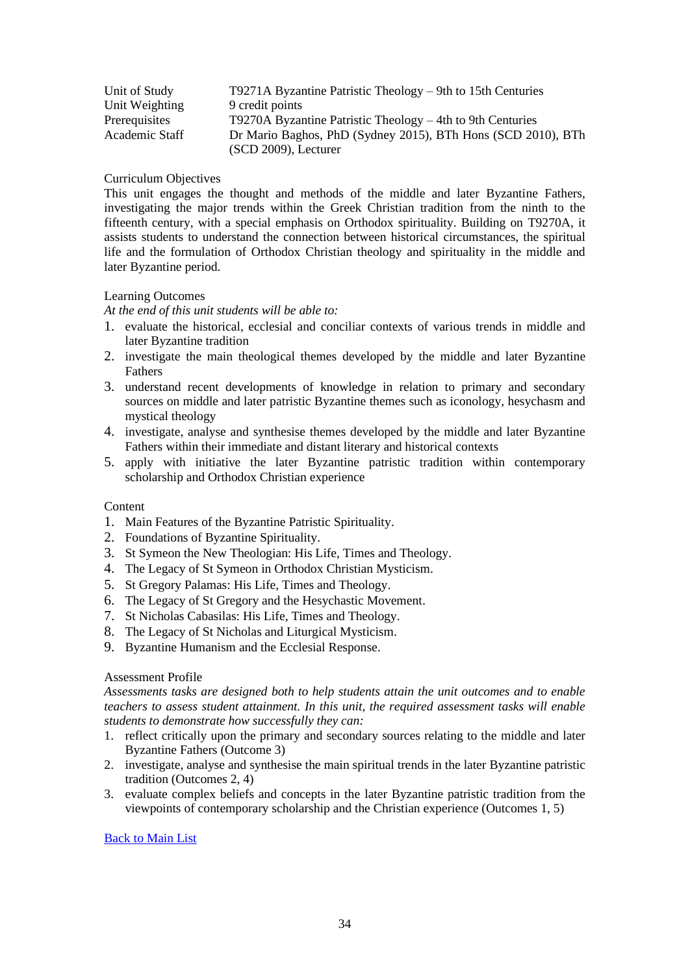| Unit of Study  | $T9271A$ Byzantine Patristic Theology – 9th to 15th Centuries |
|----------------|---------------------------------------------------------------|
| Unit Weighting | 9 credit points                                               |
| Prerequisites  | T9270A Byzantine Patristic Theology $-4$ th to 9th Centuries  |
| Academic Staff | Dr Mario Baghos, PhD (Sydney 2015), BTh Hons (SCD 2010), BTh  |
|                | $(SCD 2009)$ , Lecturer                                       |

This unit engages the thought and methods of the middle and later Byzantine Fathers, investigating the major trends within the Greek Christian tradition from the ninth to the fifteenth century, with a special emphasis on Orthodox spirituality. Building on T9270A, it assists students to understand the connection between historical circumstances, the spiritual life and the formulation of Orthodox Christian theology and spirituality in the middle and later Byzantine period.

# Learning Outcomes

*At the end of this unit students will be able to:*

- 1. evaluate the historical, ecclesial and conciliar contexts of various trends in middle and later Byzantine tradition
- 2. investigate the main theological themes developed by the middle and later Byzantine Fathers
- 3. understand recent developments of knowledge in relation to primary and secondary sources on middle and later patristic Byzantine themes such as iconology, hesychasm and mystical theology
- 4. investigate, analyse and synthesise themes developed by the middle and later Byzantine Fathers within their immediate and distant literary and historical contexts
- 5. apply with initiative the later Byzantine patristic tradition within contemporary scholarship and Orthodox Christian experience

#### Content

- 1. Main Features of the Byzantine Patristic Spirituality.
- 2. Foundations of Byzantine Spirituality.
- 3. St Symeon the New Theologian: His Life, Times and Theology.
- 4. The Legacy of St Symeon in Orthodox Christian Mysticism.
- 5. St Gregory Palamas: His Life, Times and Theology.
- 6. The Legacy of St Gregory and the Hesychastic Movement.
- 7. St Nicholas Cabasilas: His Life, Times and Theology.
- 8. The Legacy of St Nicholas and Liturgical Mysticism.
- 9. Byzantine Humanism and the Ecclesial Response.

## Assessment Profile

*Assessments tasks are designed both to help students attain the unit outcomes and to enable teachers to assess student attainment. In this unit, the required assessment tasks will enable students to demonstrate how successfully they can:*

- 1. reflect critically upon the primary and secondary sources relating to the middle and later Byzantine Fathers (Outcome 3)
- 2. investigate, analyse and synthesise the main spiritual trends in the later Byzantine patristic tradition (Outcomes 2, 4)
- <span id="page-33-0"></span>3. evaluate complex beliefs and concepts in the later Byzantine patristic tradition from the viewpoints of contemporary scholarship and the Christian experience (Outcomes 1, 5)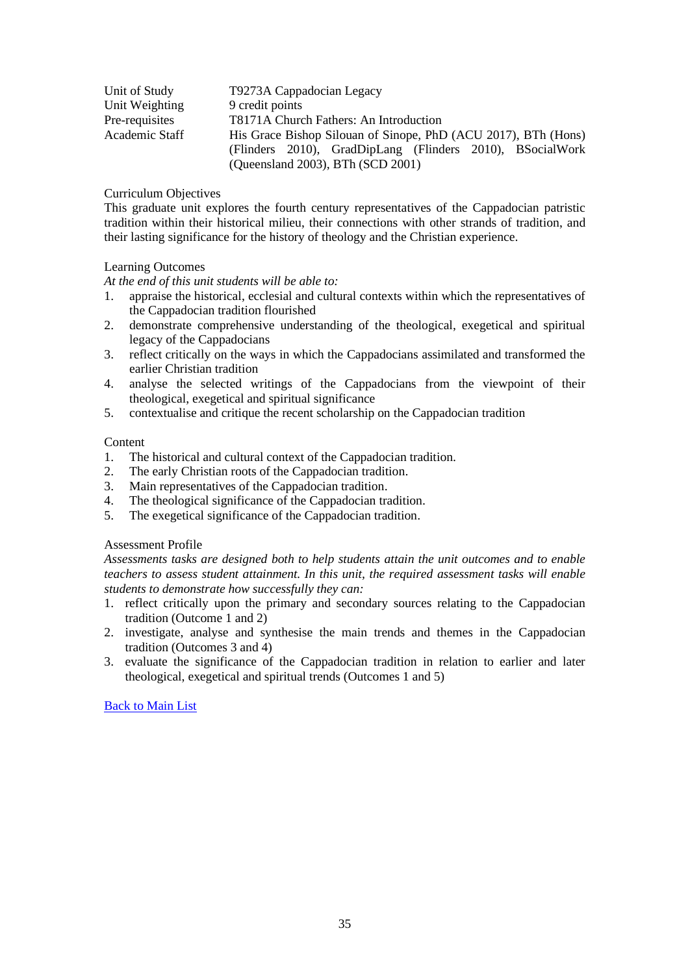| Unit of Study  | T9273A Cappadocian Legacy                                      |
|----------------|----------------------------------------------------------------|
| Unit Weighting | 9 credit points                                                |
| Pre-requisites | T8171A Church Fathers: An Introduction                         |
| Academic Staff | His Grace Bishop Silouan of Sinope, PhD (ACU 2017), BTh (Hons) |
|                | (Flinders 2010), GradDipLang (Flinders 2010), BSocialWork      |
|                | (Queensland 2003), BTh (SCD 2001)                              |

This graduate unit explores the fourth century representatives of the Cappadocian patristic tradition within their historical milieu, their connections with other strands of tradition, and their lasting significance for the history of theology and the Christian experience.

## Learning Outcomes

*At the end of this unit students will be able to:*

- 1. appraise the historical, ecclesial and cultural contexts within which the representatives of the Cappadocian tradition flourished
- 2. demonstrate comprehensive understanding of the theological, exegetical and spiritual legacy of the Cappadocians
- 3. reflect critically on the ways in which the Cappadocians assimilated and transformed the earlier Christian tradition
- 4. analyse the selected writings of the Cappadocians from the viewpoint of their theological, exegetical and spiritual significance
- 5. contextualise and critique the recent scholarship on the Cappadocian tradition

#### Content

- 1. The historical and cultural context of the Cappadocian tradition.
- 2. The early Christian roots of the Cappadocian tradition.
- 3. Main representatives of the Cappadocian tradition.
- 4. The theological significance of the Cappadocian tradition.
- 5. The exegetical significance of the Cappadocian tradition.

#### Assessment Profile

*Assessments tasks are designed both to help students attain the unit outcomes and to enable teachers to assess student attainment. In this unit, the required assessment tasks will enable students to demonstrate how successfully they can:*

- 1. reflect critically upon the primary and secondary sources relating to the Cappadocian tradition (Outcome 1 and 2)
- 2. investigate, analyse and synthesise the main trends and themes in the Cappadocian tradition (Outcomes 3 and 4)
- <span id="page-34-0"></span>3. evaluate the significance of the Cappadocian tradition in relation to earlier and later theological, exegetical and spiritual trends (Outcomes 1 and 5)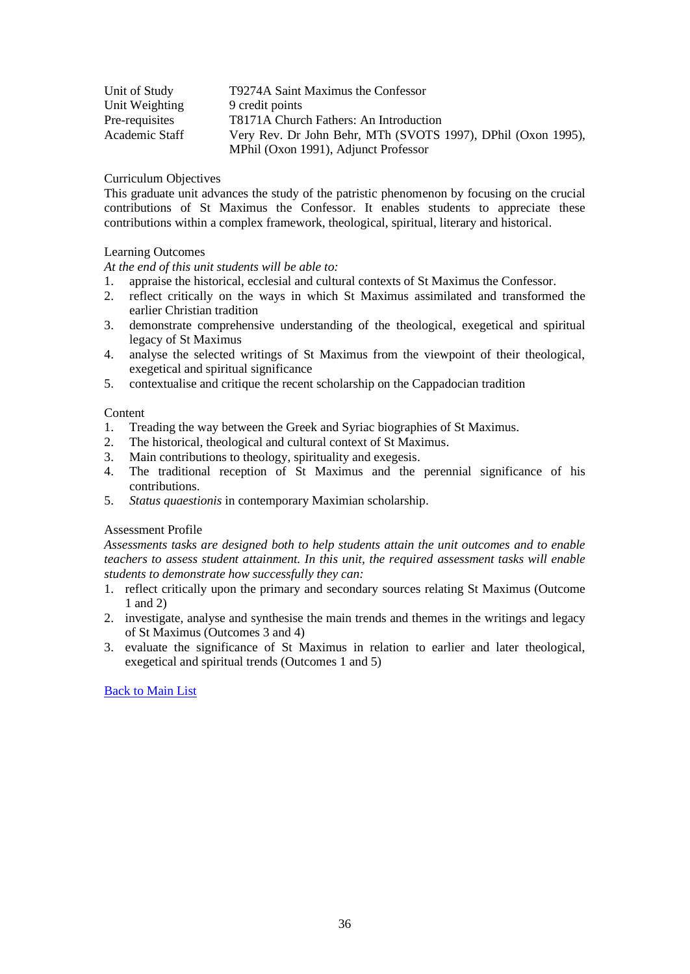| Unit of Study  | T9274A Saint Maximus the Confessor                           |
|----------------|--------------------------------------------------------------|
| Unit Weighting | 9 credit points                                              |
| Pre-requisites | T8171A Church Fathers: An Introduction                       |
| Academic Staff | Very Rev. Dr John Behr, MTh (SVOTS 1997), DPhil (Oxon 1995), |
|                | MPhil (Oxon 1991), Adjunct Professor                         |

This graduate unit advances the study of the patristic phenomenon by focusing on the crucial contributions of St Maximus the Confessor. It enables students to appreciate these contributions within a complex framework, theological, spiritual, literary and historical.

# Learning Outcomes

*At the end of this unit students will be able to:*

- 1. appraise the historical, ecclesial and cultural contexts of St Maximus the Confessor.
- 2. reflect critically on the ways in which St Maximus assimilated and transformed the earlier Christian tradition
- 3. demonstrate comprehensive understanding of the theological, exegetical and spiritual legacy of St Maximus
- 4. analyse the selected writings of St Maximus from the viewpoint of their theological, exegetical and spiritual significance
- 5. contextualise and critique the recent scholarship on the Cappadocian tradition

## **Content**

- 1. Treading the way between the Greek and Syriac biographies of St Maximus.
- 2. The historical, theological and cultural context of St Maximus.
- 3. Main contributions to theology, spirituality and exegesis.
- 4. The traditional reception of St Maximus and the perennial significance of his contributions.
- 5. *Status quaestionis* in contemporary Maximian scholarship.

# Assessment Profile

*Assessments tasks are designed both to help students attain the unit outcomes and to enable teachers to assess student attainment. In this unit, the required assessment tasks will enable students to demonstrate how successfully they can:*

- 1. reflect critically upon the primary and secondary sources relating St Maximus (Outcome 1 and 2)
- 2. investigate, analyse and synthesise the main trends and themes in the writings and legacy of St Maximus (Outcomes 3 and 4)
- <span id="page-35-0"></span>3. evaluate the significance of St Maximus in relation to earlier and later theological, exegetical and spiritual trends (Outcomes 1 and 5)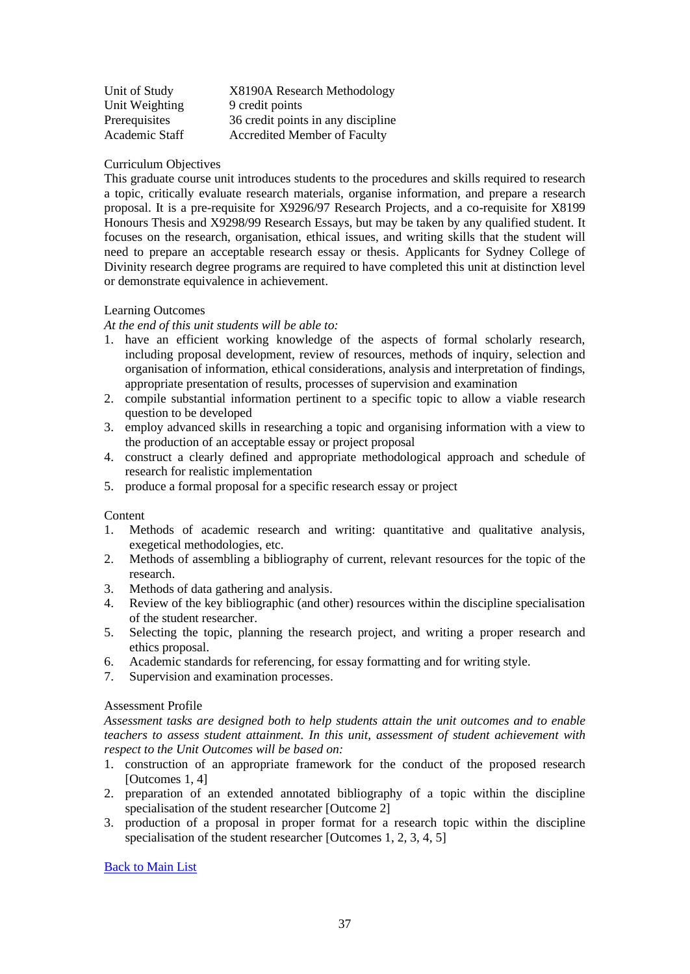| Unit of Study  | X8190A Research Methodology         |
|----------------|-------------------------------------|
| Unit Weighting | 9 credit points                     |
| Prerequisites  | 36 credit points in any discipline  |
| Academic Staff | <b>Accredited Member of Faculty</b> |

This graduate course unit introduces students to the procedures and skills required to research a topic, critically evaluate research materials, organise information, and prepare a research proposal. It is a pre-requisite for X9296/97 Research Projects, and a co-requisite for X8199 Honours Thesis and X9298/99 Research Essays, but may be taken by any qualified student. It focuses on the research, organisation, ethical issues, and writing skills that the student will need to prepare an acceptable research essay or thesis. Applicants for Sydney College of Divinity research degree programs are required to have completed this unit at distinction level or demonstrate equivalence in achievement.

# Learning Outcomes

*At the end of this unit students will be able to:*

- 1. have an efficient working knowledge of the aspects of formal scholarly research, including proposal development, review of resources, methods of inquiry, selection and organisation of information, ethical considerations, analysis and interpretation of findings, appropriate presentation of results, processes of supervision and examination
- 2. compile substantial information pertinent to a specific topic to allow a viable research question to be developed
- 3. employ advanced skills in researching a topic and organising information with a view to the production of an acceptable essay or project proposal
- 4. construct a clearly defined and appropriate methodological approach and schedule of research for realistic implementation
- 5. produce a formal proposal for a specific research essay or project

#### **Content**

- 1. Methods of academic research and writing: quantitative and qualitative analysis, exegetical methodologies, etc.
- 2. Methods of assembling a bibliography of current, relevant resources for the topic of the research.
- 3. Methods of data gathering and analysis.
- 4. Review of the key bibliographic (and other) resources within the discipline specialisation of the student researcher.
- 5. Selecting the topic, planning the research project, and writing a proper research and ethics proposal.
- 6. Academic standards for referencing, for essay formatting and for writing style.
- 7. Supervision and examination processes.

## Assessment Profile

*Assessment tasks are designed both to help students attain the unit outcomes and to enable teachers to assess student attainment. In this unit, assessment of student achievement with respect to the Unit Outcomes will be based on:*

- 1. construction of an appropriate framework for the conduct of the proposed research [Outcomes 1, 4]
- 2. preparation of an extended annotated bibliography of a topic within the discipline specialisation of the student researcher [Outcome 2]
- <span id="page-36-0"></span>3. production of a proposal in proper format for a research topic within the discipline specialisation of the student researcher [Outcomes 1, 2, 3, 4, 5]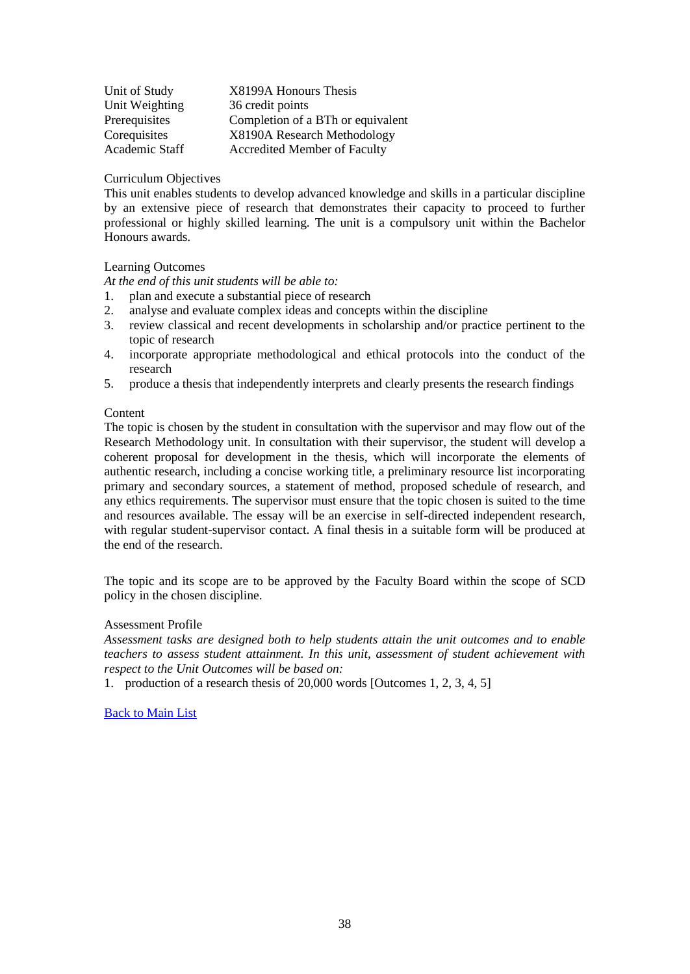| Unit of Study  | X8199A Honours Thesis               |
|----------------|-------------------------------------|
| Unit Weighting | 36 credit points                    |
| Prerequisites  | Completion of a BTh or equivalent   |
| Corequisites   | X8190A Research Methodology         |
| Academic Staff | <b>Accredited Member of Faculty</b> |

This unit enables students to develop advanced knowledge and skills in a particular discipline by an extensive piece of research that demonstrates their capacity to proceed to further professional or highly skilled learning. The unit is a compulsory unit within the Bachelor Honours awards.

# Learning Outcomes

*At the end of this unit students will be able to:*

- 1. plan and execute a substantial piece of research
- 2. analyse and evaluate complex ideas and concepts within the discipline
- 3. review classical and recent developments in scholarship and/or practice pertinent to the topic of research
- 4. incorporate appropriate methodological and ethical protocols into the conduct of the research
- 5. produce a thesis that independently interprets and clearly presents the research findings

#### **Content**

The topic is chosen by the student in consultation with the supervisor and may flow out of the Research Methodology unit. In consultation with their supervisor, the student will develop a coherent proposal for development in the thesis, which will incorporate the elements of authentic research, including a concise working title, a preliminary resource list incorporating primary and secondary sources, a statement of method, proposed schedule of research, and any ethics requirements. The supervisor must ensure that the topic chosen is suited to the time and resources available. The essay will be an exercise in self-directed independent research, with regular student-supervisor contact. A final thesis in a suitable form will be produced at the end of the research.

The topic and its scope are to be approved by the Faculty Board within the scope of SCD policy in the chosen discipline.

#### Assessment Profile

*Assessment tasks are designed both to help students attain the unit outcomes and to enable teachers to assess student attainment. In this unit, assessment of student achievement with respect to the Unit Outcomes will be based on:*

<span id="page-37-0"></span>1. production of a research thesis of 20,000 words [Outcomes 1, 2, 3, 4, 5]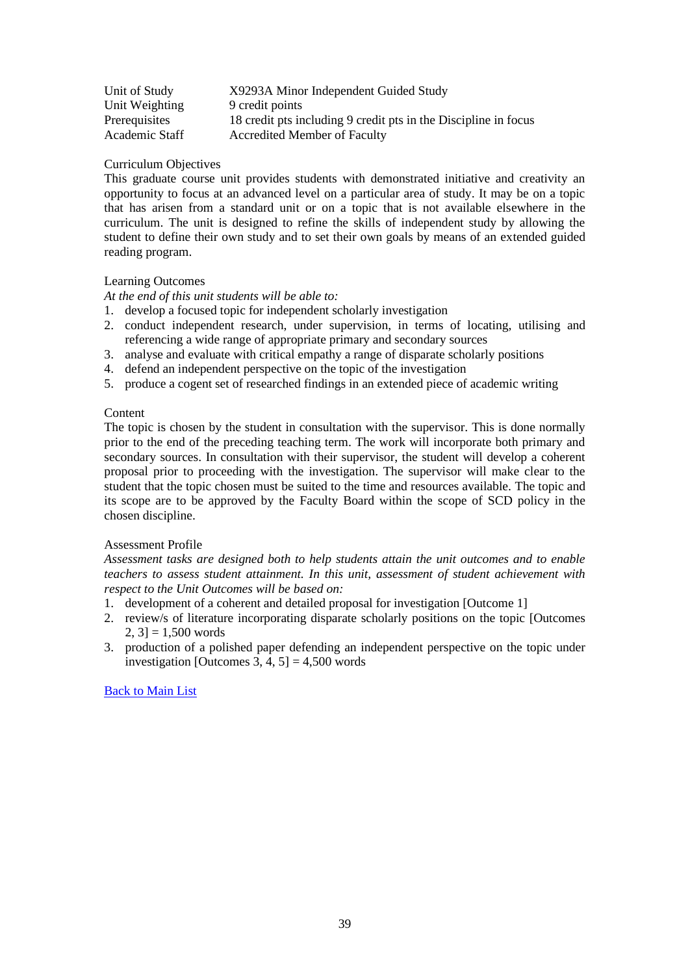| Unit of Study  | X9293A Minor Independent Guided Study                           |
|----------------|-----------------------------------------------------------------|
| Unit Weighting | 9 credit points                                                 |
| Prerequisites  | 18 credit pts including 9 credit pts in the Discipline in focus |
| Academic Staff | <b>Accredited Member of Faculty</b>                             |

This graduate course unit provides students with demonstrated initiative and creativity an opportunity to focus at an advanced level on a particular area of study. It may be on a topic that has arisen from a standard unit or on a topic that is not available elsewhere in the curriculum. The unit is designed to refine the skills of independent study by allowing the student to define their own study and to set their own goals by means of an extended guided reading program.

# Learning Outcomes

*At the end of this unit students will be able to:*

- 1. develop a focused topic for independent scholarly investigation
- 2. conduct independent research, under supervision, in terms of locating, utilising and referencing a wide range of appropriate primary and secondary sources
- 3. analyse and evaluate with critical empathy a range of disparate scholarly positions
- 4. defend an independent perspective on the topic of the investigation
- 5. produce a cogent set of researched findings in an extended piece of academic writing

## **Content**

The topic is chosen by the student in consultation with the supervisor. This is done normally prior to the end of the preceding teaching term. The work will incorporate both primary and secondary sources. In consultation with their supervisor, the student will develop a coherent proposal prior to proceeding with the investigation. The supervisor will make clear to the student that the topic chosen must be suited to the time and resources available. The topic and its scope are to be approved by the Faculty Board within the scope of SCD policy in the chosen discipline.

# Assessment Profile

*Assessment tasks are designed both to help students attain the unit outcomes and to enable teachers to assess student attainment. In this unit, assessment of student achievement with respect to the Unit Outcomes will be based on:*

- 1. development of a coherent and detailed proposal for investigation [Outcome 1]
- 2. review/s of literature incorporating disparate scholarly positions on the topic [Outcomes  $2, 31 = 1,500$  words
- <span id="page-38-0"></span>3. production of a polished paper defending an independent perspective on the topic under investigation [Outcomes  $3, 4, 5$ ] = 4,500 words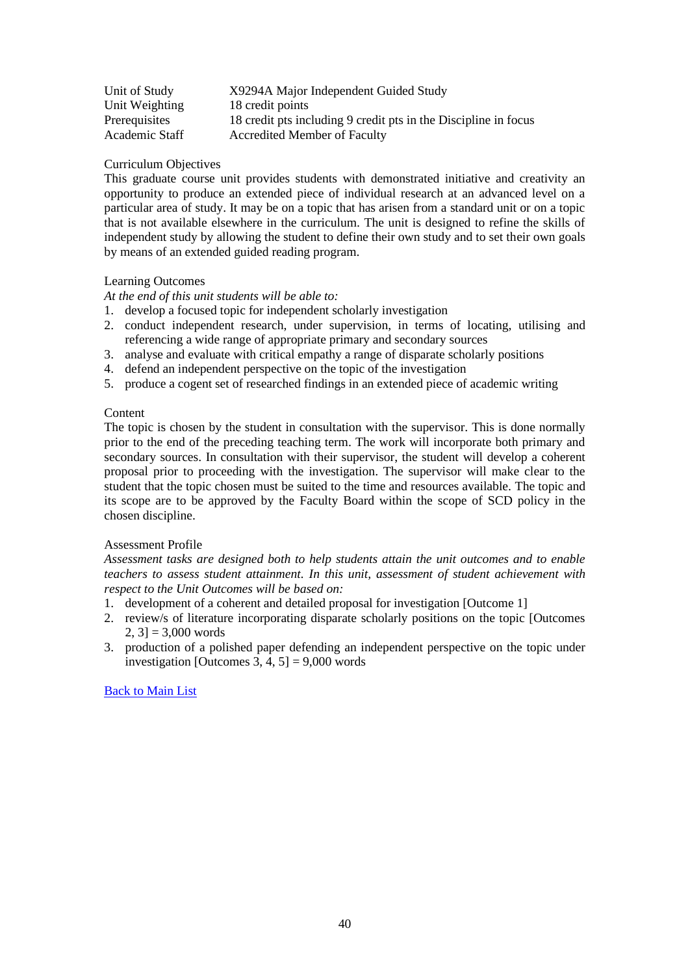| Unit of Study  | X9294A Major Independent Guided Study                           |
|----------------|-----------------------------------------------------------------|
| Unit Weighting | 18 credit points                                                |
| Prerequisites  | 18 credit pts including 9 credit pts in the Discipline in focus |
| Academic Staff | <b>Accredited Member of Faculty</b>                             |

This graduate course unit provides students with demonstrated initiative and creativity an opportunity to produce an extended piece of individual research at an advanced level on a particular area of study. It may be on a topic that has arisen from a standard unit or on a topic that is not available elsewhere in the curriculum. The unit is designed to refine the skills of independent study by allowing the student to define their own study and to set their own goals by means of an extended guided reading program.

# Learning Outcomes

*At the end of this unit students will be able to:*

- 1. develop a focused topic for independent scholarly investigation
- 2. conduct independent research, under supervision, in terms of locating, utilising and referencing a wide range of appropriate primary and secondary sources
- 3. analyse and evaluate with critical empathy a range of disparate scholarly positions
- 4. defend an independent perspective on the topic of the investigation
- 5. produce a cogent set of researched findings in an extended piece of academic writing

## **Content**

The topic is chosen by the student in consultation with the supervisor. This is done normally prior to the end of the preceding teaching term. The work will incorporate both primary and secondary sources. In consultation with their supervisor, the student will develop a coherent proposal prior to proceeding with the investigation. The supervisor will make clear to the student that the topic chosen must be suited to the time and resources available. The topic and its scope are to be approved by the Faculty Board within the scope of SCD policy in the chosen discipline.

# Assessment Profile

*Assessment tasks are designed both to help students attain the unit outcomes and to enable teachers to assess student attainment. In this unit, assessment of student achievement with respect to the Unit Outcomes will be based on:*

- 1. development of a coherent and detailed proposal for investigation [Outcome 1]
- 2. review/s of literature incorporating disparate scholarly positions on the topic [Outcomes  $2, 31 = 3,000$  words
- <span id="page-39-0"></span>3. production of a polished paper defending an independent perspective on the topic under investigation [Outcomes 3, 4, 5] =  $9,000$  words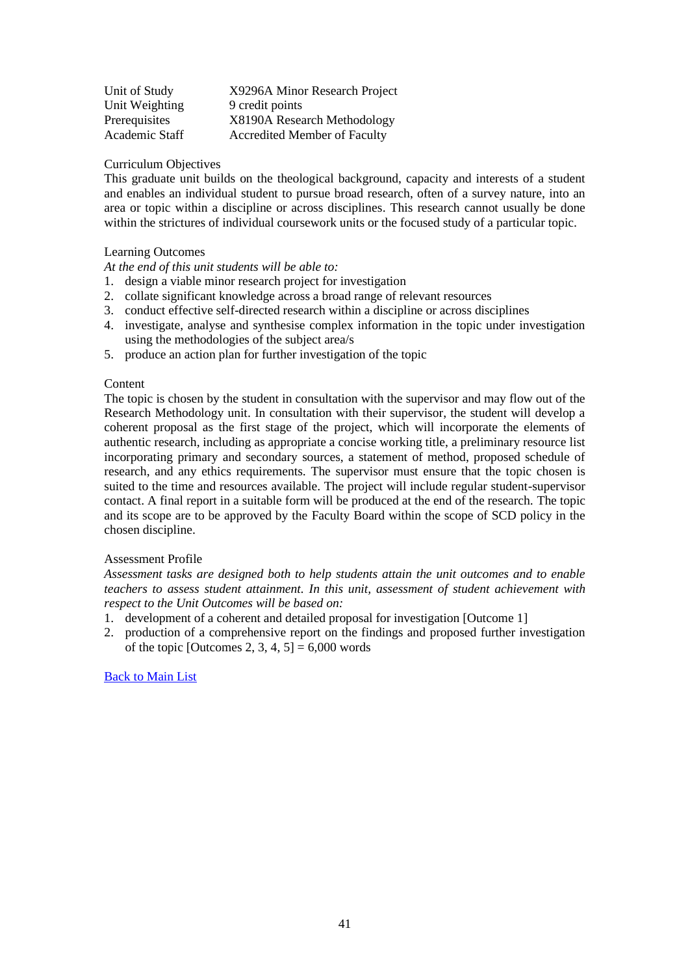| Unit of Study  | X9296A Minor Research Project       |
|----------------|-------------------------------------|
| Unit Weighting | 9 credit points                     |
| Prerequisites  | X8190A Research Methodology         |
| Academic Staff | <b>Accredited Member of Faculty</b> |

This graduate unit builds on the theological background, capacity and interests of a student and enables an individual student to pursue broad research, often of a survey nature, into an area or topic within a discipline or across disciplines. This research cannot usually be done within the strictures of individual coursework units or the focused study of a particular topic.

## Learning Outcomes

*At the end of this unit students will be able to:*

- 1. design a viable minor research project for investigation
- 2. collate significant knowledge across a broad range of relevant resources
- 3. conduct effective self-directed research within a discipline or across disciplines
- 4. investigate, analyse and synthesise complex information in the topic under investigation using the methodologies of the subject area/s
- 5. produce an action plan for further investigation of the topic

## Content

The topic is chosen by the student in consultation with the supervisor and may flow out of the Research Methodology unit. In consultation with their supervisor, the student will develop a coherent proposal as the first stage of the project, which will incorporate the elements of authentic research, including as appropriate a concise working title, a preliminary resource list incorporating primary and secondary sources, a statement of method, proposed schedule of research, and any ethics requirements. The supervisor must ensure that the topic chosen is suited to the time and resources available. The project will include regular student-supervisor contact. A final report in a suitable form will be produced at the end of the research. The topic and its scope are to be approved by the Faculty Board within the scope of SCD policy in the chosen discipline.

#### Assessment Profile

*Assessment tasks are designed both to help students attain the unit outcomes and to enable teachers to assess student attainment. In this unit, assessment of student achievement with respect to the Unit Outcomes will be based on:*

- 1. development of a coherent and detailed proposal for investigation [Outcome 1]
- <span id="page-40-0"></span>2. production of a comprehensive report on the findings and proposed further investigation of the topic [Outcomes 2, 3, 4,  $5$ ] = 6,000 words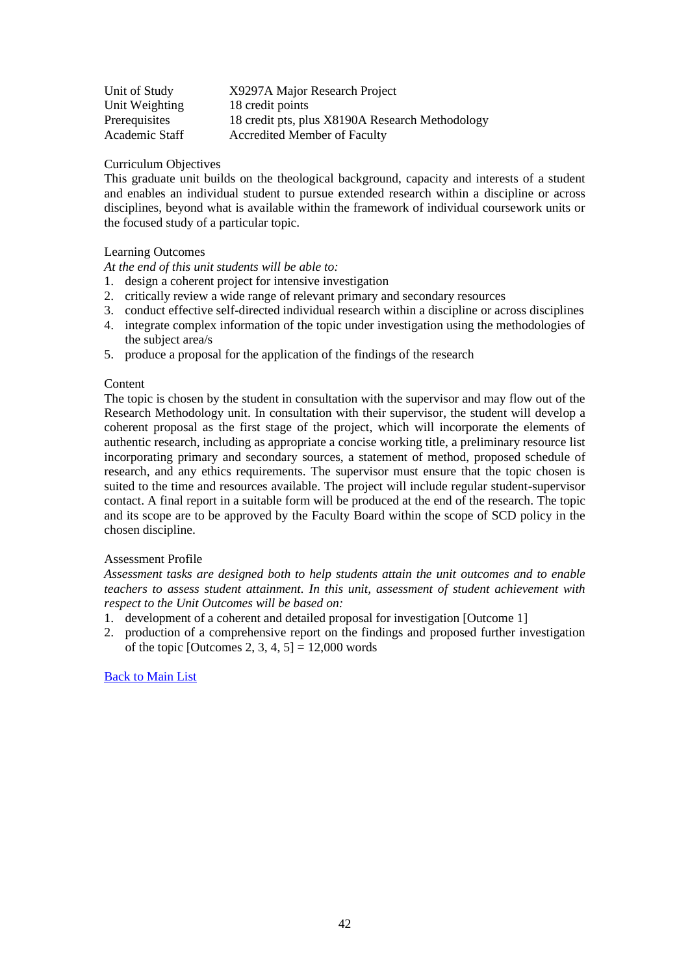| Unit of Study  | X9297A Major Research Project                   |
|----------------|-------------------------------------------------|
| Unit Weighting | 18 credit points                                |
| Prerequisites  | 18 credit pts, plus X8190A Research Methodology |
| Academic Staff | Accredited Member of Faculty                    |

This graduate unit builds on the theological background, capacity and interests of a student and enables an individual student to pursue extended research within a discipline or across disciplines, beyond what is available within the framework of individual coursework units or the focused study of a particular topic.

# Learning Outcomes

*At the end of this unit students will be able to:*

- 1. design a coherent project for intensive investigation
- 2. critically review a wide range of relevant primary and secondary resources
- 3. conduct effective self-directed individual research within a discipline or across disciplines
- 4. integrate complex information of the topic under investigation using the methodologies of the subject area/s
- 5. produce a proposal for the application of the findings of the research

## Content

The topic is chosen by the student in consultation with the supervisor and may flow out of the Research Methodology unit. In consultation with their supervisor, the student will develop a coherent proposal as the first stage of the project, which will incorporate the elements of authentic research, including as appropriate a concise working title, a preliminary resource list incorporating primary and secondary sources, a statement of method, proposed schedule of research, and any ethics requirements. The supervisor must ensure that the topic chosen is suited to the time and resources available. The project will include regular student-supervisor contact. A final report in a suitable form will be produced at the end of the research. The topic and its scope are to be approved by the Faculty Board within the scope of SCD policy in the chosen discipline.

#### Assessment Profile

*Assessment tasks are designed both to help students attain the unit outcomes and to enable teachers to assess student attainment. In this unit, assessment of student achievement with respect to the Unit Outcomes will be based on:*

- 1. development of a coherent and detailed proposal for investigation [Outcome 1]
- <span id="page-41-0"></span>2. production of a comprehensive report on the findings and proposed further investigation of the topic [Outcomes 2, 3, 4, 5] =  $12,000$  words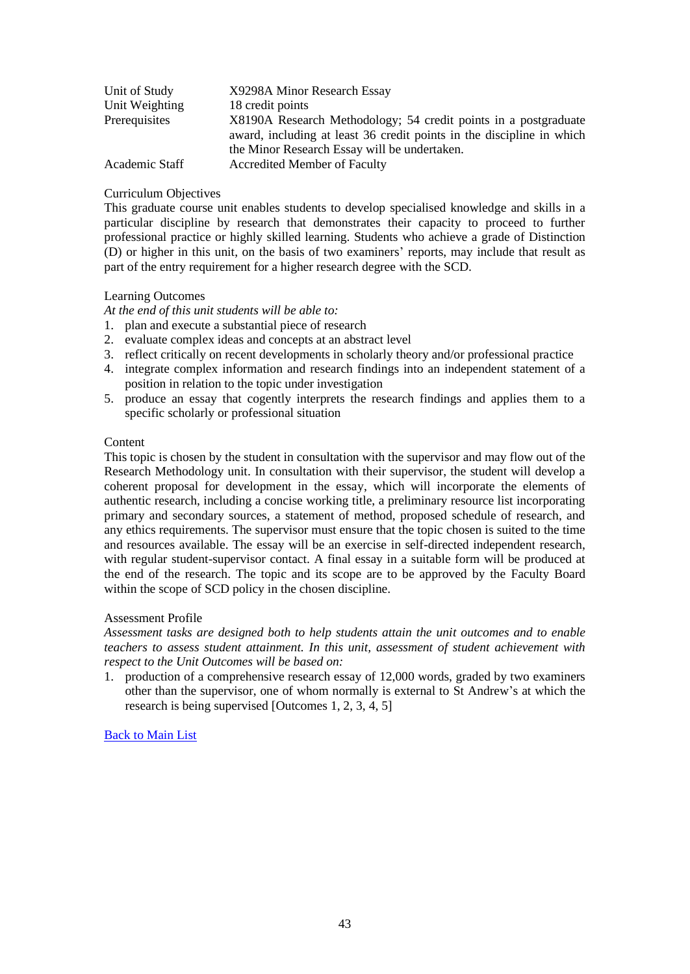| Unit of Study  | X9298A Minor Research Essay                                                                                                                                                              |
|----------------|------------------------------------------------------------------------------------------------------------------------------------------------------------------------------------------|
| Unit Weighting | 18 credit points                                                                                                                                                                         |
| Prerequisites  | X8190A Research Methodology; 54 credit points in a postgraduate<br>award, including at least 36 credit points in the discipline in which<br>the Minor Research Essay will be undertaken. |
| Academic Staff | <b>Accredited Member of Faculty</b>                                                                                                                                                      |

This graduate course unit enables students to develop specialised knowledge and skills in a particular discipline by research that demonstrates their capacity to proceed to further professional practice or highly skilled learning. Students who achieve a grade of Distinction (D) or higher in this unit, on the basis of two examiners' reports, may include that result as part of the entry requirement for a higher research degree with the SCD.

## Learning Outcomes

*At the end of this unit students will be able to:*

- 1. plan and execute a substantial piece of research
- 2. evaluate complex ideas and concepts at an abstract level
- 3. reflect critically on recent developments in scholarly theory and/or professional practice
- 4. integrate complex information and research findings into an independent statement of a position in relation to the topic under investigation
- 5. produce an essay that cogently interprets the research findings and applies them to a specific scholarly or professional situation

#### Content

This topic is chosen by the student in consultation with the supervisor and may flow out of the Research Methodology unit. In consultation with their supervisor, the student will develop a coherent proposal for development in the essay, which will incorporate the elements of authentic research, including a concise working title, a preliminary resource list incorporating primary and secondary sources, a statement of method, proposed schedule of research, and any ethics requirements. The supervisor must ensure that the topic chosen is suited to the time and resources available. The essay will be an exercise in self-directed independent research, with regular student-supervisor contact. A final essay in a suitable form will be produced at the end of the research. The topic and its scope are to be approved by the Faculty Board within the scope of SCD policy in the chosen discipline.

## Assessment Profile

*Assessment tasks are designed both to help students attain the unit outcomes and to enable teachers to assess student attainment. In this unit, assessment of student achievement with respect to the Unit Outcomes will be based on:*

<span id="page-42-0"></span>1. production of a comprehensive research essay of 12,000 words, graded by two examiners other than the supervisor, one of whom normally is external to St Andrew's at which the research is being supervised [Outcomes 1, 2, 3, 4, 5]